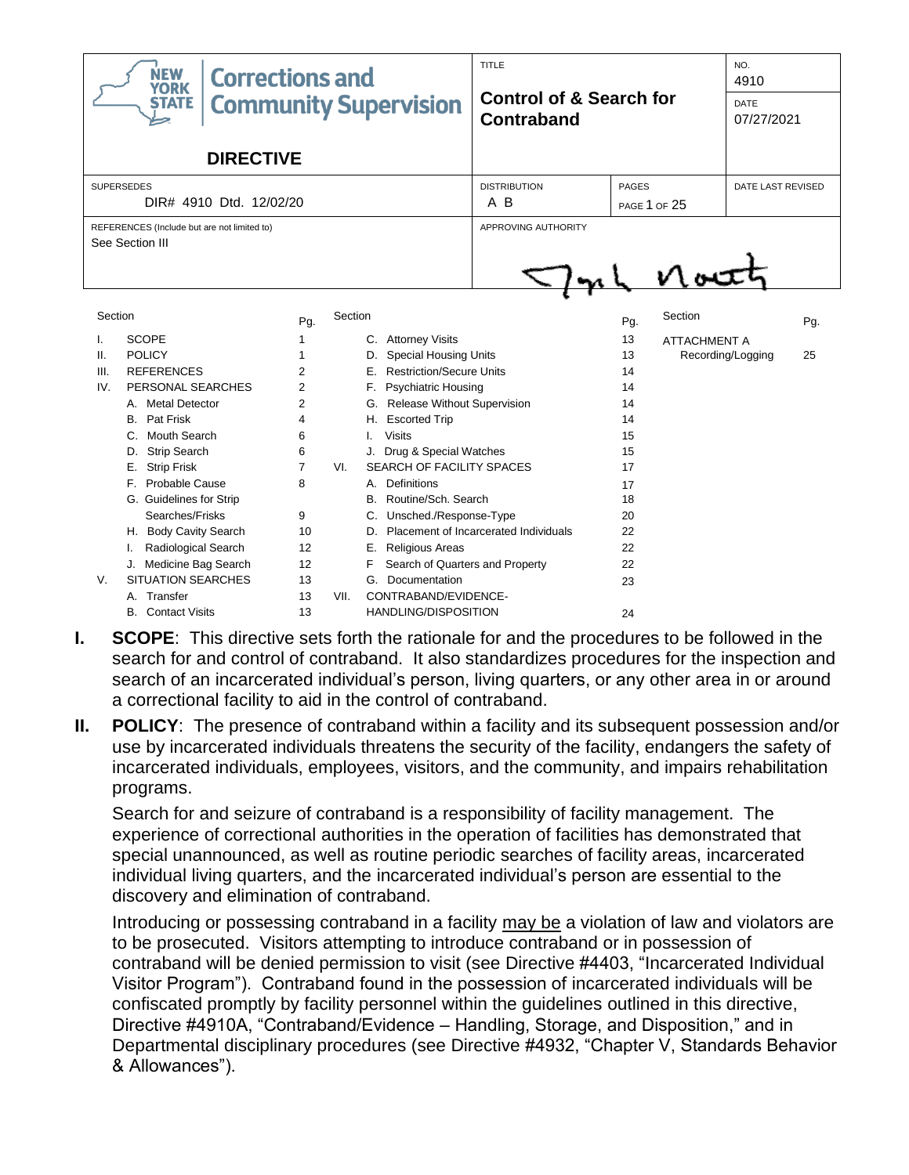| <b>NEW</b><br><b>Corrections and</b><br><b>YORK</b> |                                                                                                                                                                                                                                                                                                                                                                                        |                                                                                          |                     |                                                                                                                                                                                                                                                                                                                                                                                                                                                                          | TITLE                                            |                                                                                              | NO.<br>4910                       |                   |     |
|-----------------------------------------------------|----------------------------------------------------------------------------------------------------------------------------------------------------------------------------------------------------------------------------------------------------------------------------------------------------------------------------------------------------------------------------------------|------------------------------------------------------------------------------------------|---------------------|--------------------------------------------------------------------------------------------------------------------------------------------------------------------------------------------------------------------------------------------------------------------------------------------------------------------------------------------------------------------------------------------------------------------------------------------------------------------------|--------------------------------------------------|----------------------------------------------------------------------------------------------|-----------------------------------|-------------------|-----|
| <b>Community Supervision</b><br><b>STATE</b>        |                                                                                                                                                                                                                                                                                                                                                                                        |                                                                                          |                     |                                                                                                                                                                                                                                                                                                                                                                                                                                                                          | <b>Control of &amp; Search for</b><br>Contraband |                                                                                              | <b>DATE</b><br>07/27/2021         |                   |     |
|                                                     | <b>DIRECTIVE</b>                                                                                                                                                                                                                                                                                                                                                                       |                                                                                          |                     |                                                                                                                                                                                                                                                                                                                                                                                                                                                                          |                                                  |                                                                                              |                                   |                   |     |
| <b>SUPERSEDES</b><br>DIR# 4910 Dtd. 12/02/20        |                                                                                                                                                                                                                                                                                                                                                                                        |                                                                                          |                     |                                                                                                                                                                                                                                                                                                                                                                                                                                                                          | <b>DISTRIBUTION</b><br>A B                       | PAGES                                                                                        | DATE LAST REVISED<br>PAGE 1 OF 25 |                   |     |
|                                                     | REFERENCES (Include but are not limited to)<br>See Section III                                                                                                                                                                                                                                                                                                                         |                                                                                          | APPROVING AUTHORITY |                                                                                                                                                                                                                                                                                                                                                                                                                                                                          | v vi                                             |                                                                                              |                                   |                   |     |
| Section                                             |                                                                                                                                                                                                                                                                                                                                                                                        | Pg.                                                                                      | Section             |                                                                                                                                                                                                                                                                                                                                                                                                                                                                          |                                                  | Pg.                                                                                          | Section                           |                   | Pg. |
| I.<br>ΙΙ.<br>III.<br>IV.<br>V.                      | <b>SCOPE</b><br><b>POLICY</b><br><b>REFERENCES</b><br>PERSONAL SEARCHES<br>A. Metal Detector<br><b>B.</b> Pat Frisk<br>Mouth Search<br>$C_{\alpha}$<br><b>Strip Search</b><br>D.<br><b>Strip Frisk</b><br>Е.<br>F. Probable Cause<br>G. Guidelines for Strip<br>Searches/Frisks<br>H. Body Cavity Search<br>Radiological Search<br>J. Medicine Bag Search<br><b>SITUATION SEARCHES</b> | 1<br>1<br>2<br>$\overline{2}$<br>2<br>4<br>6<br>6<br>7<br>8<br>9<br>10<br>12<br>12<br>13 | VI.                 | C. Attorney Visits<br><b>Special Housing Units</b><br>D.<br><b>Restriction/Secure Units</b><br>E.,<br>F. Psychiatric Housing<br>G. Release Without Supervision<br><b>Escorted Trip</b><br>Η.<br><b>Visits</b><br>I.<br>J. Drug & Special Watches<br>SEARCH OF FACILITY SPACES<br><b>Definitions</b><br>А.<br>Routine/Sch. Search<br>B.<br>Unsched./Response-Type<br>C.<br>D.<br>Е.<br><b>Religious Areas</b><br>F<br>Search of Quarters and Property<br>G. Documentation | Placement of Incarcerated Individuals            | 13<br>13<br>14<br>14<br>14<br>14<br>15<br>15<br>17<br>17<br>18<br>20<br>22<br>22<br>22<br>23 | <b>ATTACHMENT A</b>               | Recording/Logging | 25  |
|                                                     | Transfer<br>A.<br><b>B.</b> Contact Visits                                                                                                                                                                                                                                                                                                                                             | 13<br>13                                                                                 | VII.                | CONTRABAND/EVIDENCE-<br><b>HANDLING/DISPOSITION</b>                                                                                                                                                                                                                                                                                                                                                                                                                      |                                                  | 24                                                                                           |                                   |                   |     |

- **I. SCOPE**: This directive sets forth the rationale for and the procedures to be followed in the search for and control of contraband. It also standardizes procedures for the inspection and search of an incarcerated individual's person, living quarters, or any other area in or around a correctional facility to aid in the control of contraband.
- **II. POLICY**: The presence of contraband within a facility and its subsequent possession and/or use by incarcerated individuals threatens the security of the facility, endangers the safety of incarcerated individuals, employees, visitors, and the community, and impairs rehabilitation programs.

Search for and seizure of contraband is a responsibility of facility management. The experience of correctional authorities in the operation of facilities has demonstrated that special unannounced, as well as routine periodic searches of facility areas, incarcerated individual living quarters, and the incarcerated individual's person are essential to the discovery and elimination of contraband.

Introducing or possessing contraband in a facility may be a violation of law and violators are to be prosecuted. Visitors attempting to introduce contraband or in possession of contraband will be denied permission to visit (see Directive #4403, "Incarcerated Individual Visitor Program"). Contraband found in the possession of incarcerated individuals will be confiscated promptly by facility personnel within the guidelines outlined in this directive, Directive #4910A, "Contraband/Evidence – Handling, Storage, and Disposition," and in Departmental disciplinary procedures (see Directive #4932, "Chapter V, Standards Behavior & Allowances").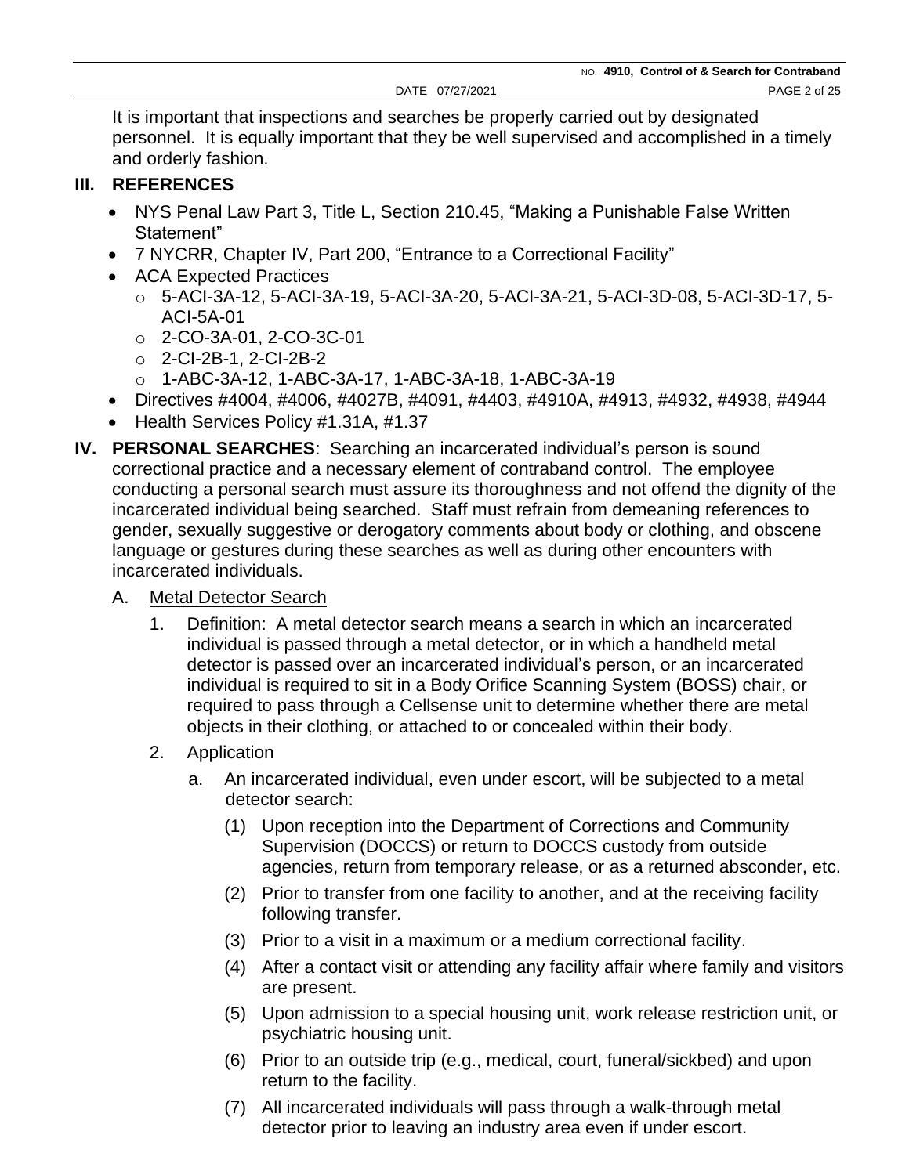It is important that inspections and searches be properly carried out by designated personnel. It is equally important that they be well supervised and accomplished in a timely and orderly fashion.

## **III. REFERENCES**

- NYS Penal Law Part 3, Title L, Section 210.45, "Making a Punishable False Written Statement"
- 7 NYCRR, Chapter IV, Part 200, "Entrance to a Correctional Facility"
- ACA Expected Practices
	- o 5-ACI-3A-12, 5-ACI-3A-19, 5-ACI-3A-20, 5-ACI-3A-21, 5-ACI-3D-08, 5-ACI-3D-17, 5- ACI-5A-01
	- o 2-CO-3A-01, 2-CO-3C-01
	- o 2-CI-2B-1, 2-CI-2B-2
	- o 1-ABC-3A-12, 1-ABC-3A-17, 1-ABC-3A-18, 1-ABC-3A-19
- Directives #4004, #4006, #4027B, #4091, #4403, #4910A, #4913, #4932, #4938, #4944
- Health Services Policy #1.31A, #1.37
- **IV. PERSONAL SEARCHES**: Searching an incarcerated individual's person is sound correctional practice and a necessary element of contraband control. The employee conducting a personal search must assure its thoroughness and not offend the dignity of the incarcerated individual being searched. Staff must refrain from demeaning references to gender, sexually suggestive or derogatory comments about body or clothing, and obscene language or gestures during these searches as well as during other encounters with incarcerated individuals.
	- A. Metal Detector Search
		- 1. Definition: A metal detector search means a search in which an incarcerated individual is passed through a metal detector, or in which a handheld metal detector is passed over an incarcerated individual's person, or an incarcerated individual is required to sit in a Body Orifice Scanning System (BOSS) chair, or required to pass through a Cellsense unit to determine whether there are metal objects in their clothing, or attached to or concealed within their body.
		- 2. Application
			- a. An incarcerated individual, even under escort, will be subjected to a metal detector search:
				- (1) Upon reception into the Department of Corrections and Community Supervision (DOCCS) or return to DOCCS custody from outside agencies, return from temporary release, or as a returned absconder, etc.
				- (2) Prior to transfer from one facility to another, and at the receiving facility following transfer.
				- (3) Prior to a visit in a maximum or a medium correctional facility.
				- (4) After a contact visit or attending any facility affair where family and visitors are present.
				- (5) Upon admission to a special housing unit, work release restriction unit, or psychiatric housing unit.
				- (6) Prior to an outside trip (e.g., medical, court, funeral/sickbed) and upon return to the facility.
				- (7) All incarcerated individuals will pass through a walk-through metal detector prior to leaving an industry area even if under escort.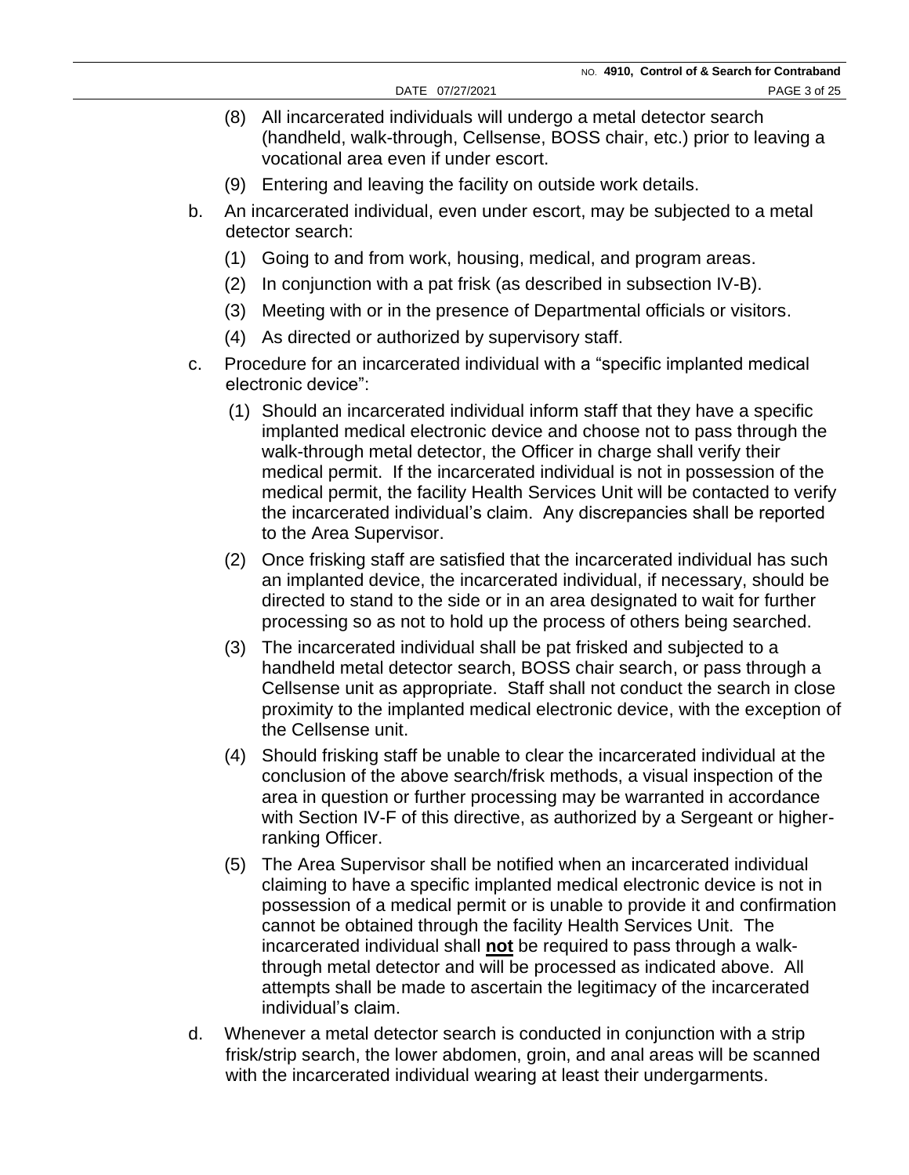- (8) All incarcerated individuals will undergo a metal detector search (handheld, walk-through, Cellsense, BOSS chair, etc.) prior to leaving a vocational area even if under escort.
- (9) Entering and leaving the facility on outside work details.
- b. An incarcerated individual, even under escort, may be subjected to a metal detector search:
	- (1) Going to and from work, housing, medical, and program areas.
	- (2) In conjunction with a pat frisk (as described in subsection IV-B).
	- (3) Meeting with or in the presence of Departmental officials or visitors.
	- (4) As directed or authorized by supervisory staff.
- c. Procedure for an incarcerated individual with a "specific implanted medical electronic device":
	- (1) Should an incarcerated individual inform staff that they have a specific implanted medical electronic device and choose not to pass through the walk-through metal detector, the Officer in charge shall verify their medical permit. If the incarcerated individual is not in possession of the medical permit, the facility Health Services Unit will be contacted to verify the incarcerated individual's claim. Any discrepancies shall be reported to the Area Supervisor.
	- (2) Once frisking staff are satisfied that the incarcerated individual has such an implanted device, the incarcerated individual, if necessary, should be directed to stand to the side or in an area designated to wait for further processing so as not to hold up the process of others being searched.
	- (3) The incarcerated individual shall be pat frisked and subjected to a handheld metal detector search, BOSS chair search, or pass through a Cellsense unit as appropriate. Staff shall not conduct the search in close proximity to the implanted medical electronic device, with the exception of the Cellsense unit.
	- (4) Should frisking staff be unable to clear the incarcerated individual at the conclusion of the above search/frisk methods, a visual inspection of the area in question or further processing may be warranted in accordance with Section IV-F of this directive, as authorized by a Sergeant or higherranking Officer.
	- (5) The Area Supervisor shall be notified when an incarcerated individual claiming to have a specific implanted medical electronic device is not in possession of a medical permit or is unable to provide it and confirmation cannot be obtained through the facility Health Services Unit. The incarcerated individual shall **not** be required to pass through a walkthrough metal detector and will be processed as indicated above. All attempts shall be made to ascertain the legitimacy of the incarcerated individual's claim.
- d. Whenever a metal detector search is conducted in conjunction with a strip frisk/strip search, the lower abdomen, groin, and anal areas will be scanned with the incarcerated individual wearing at least their undergarments.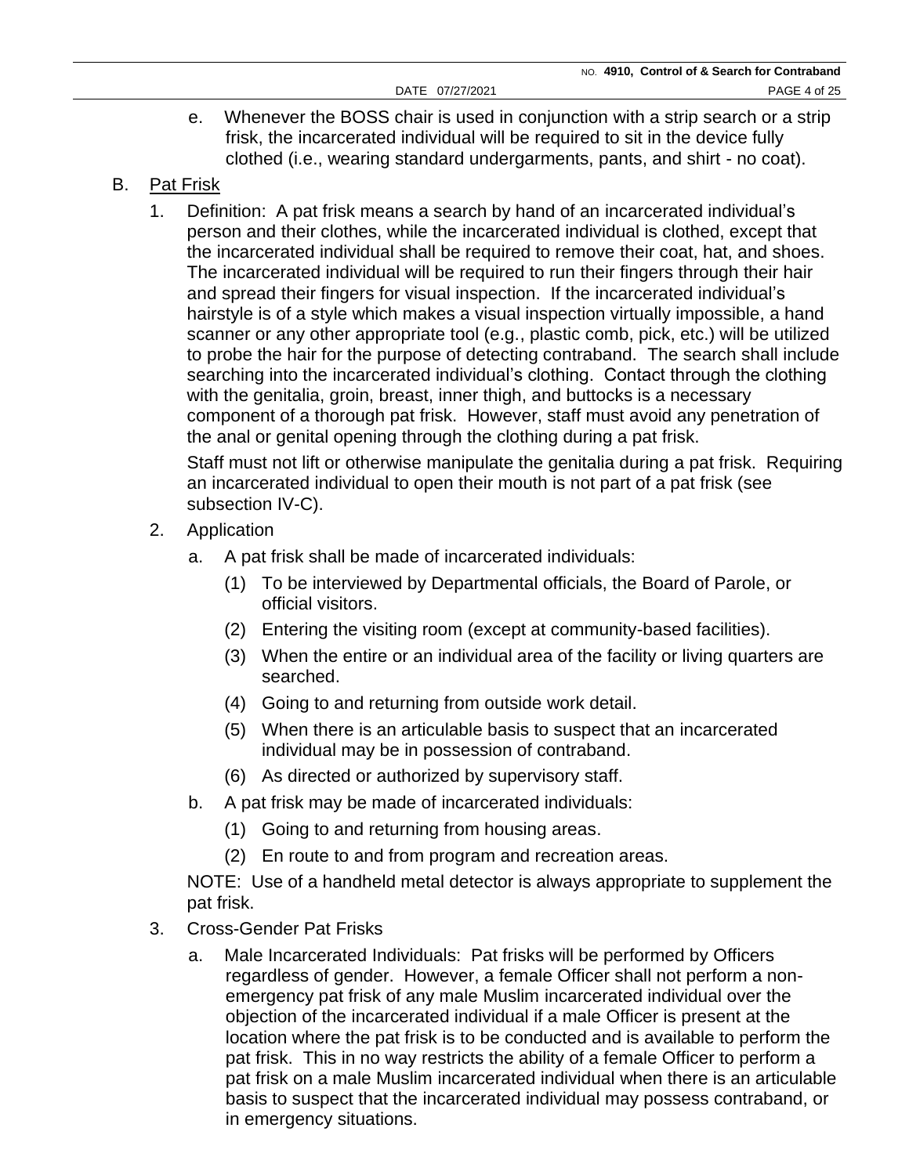- e. Whenever the BOSS chair is used in conjunction with a strip search or a strip frisk, the incarcerated individual will be required to sit in the device fully clothed (i.e., wearing standard undergarments, pants, and shirt - no coat).
- B. Pat Frisk
	- 1. Definition: A pat frisk means a search by hand of an incarcerated individual's person and their clothes, while the incarcerated individual is clothed, except that the incarcerated individual shall be required to remove their coat, hat, and shoes. The incarcerated individual will be required to run their fingers through their hair and spread their fingers for visual inspection. If the incarcerated individual's hairstyle is of a style which makes a visual inspection virtually impossible, a hand scanner or any other appropriate tool (e.g., plastic comb, pick, etc.) will be utilized to probe the hair for the purpose of detecting contraband. The search shall include searching into the incarcerated individual's clothing. Contact through the clothing with the genitalia, groin, breast, inner thigh, and buttocks is a necessary component of a thorough pat frisk. However, staff must avoid any penetration of the anal or genital opening through the clothing during a pat frisk.

Staff must not lift or otherwise manipulate the genitalia during a pat frisk. Requiring an incarcerated individual to open their mouth is not part of a pat frisk (see subsection IV-C).

- 2. Application
	- a. A pat frisk shall be made of incarcerated individuals:
		- (1) To be interviewed by Departmental officials, the Board of Parole, or official visitors.
		- (2) Entering the visiting room (except at community-based facilities).
		- (3) When the entire or an individual area of the facility or living quarters are searched.
		- (4) Going to and returning from outside work detail.
		- (5) When there is an articulable basis to suspect that an incarcerated individual may be in possession of contraband.
		- (6) As directed or authorized by supervisory staff.
	- b. A pat frisk may be made of incarcerated individuals:
		- (1) Going to and returning from housing areas.
		- (2) En route to and from program and recreation areas.

NOTE: Use of a handheld metal detector is always appropriate to supplement the pat frisk.

- 3. Cross-Gender Pat Frisks
	- a. Male Incarcerated Individuals: Pat frisks will be performed by Officers regardless of gender. However, a female Officer shall not perform a nonemergency pat frisk of any male Muslim incarcerated individual over the objection of the incarcerated individual if a male Officer is present at the location where the pat frisk is to be conducted and is available to perform the pat frisk. This in no way restricts the ability of a female Officer to perform a pat frisk on a male Muslim incarcerated individual when there is an articulable basis to suspect that the incarcerated individual may possess contraband, or in emergency situations.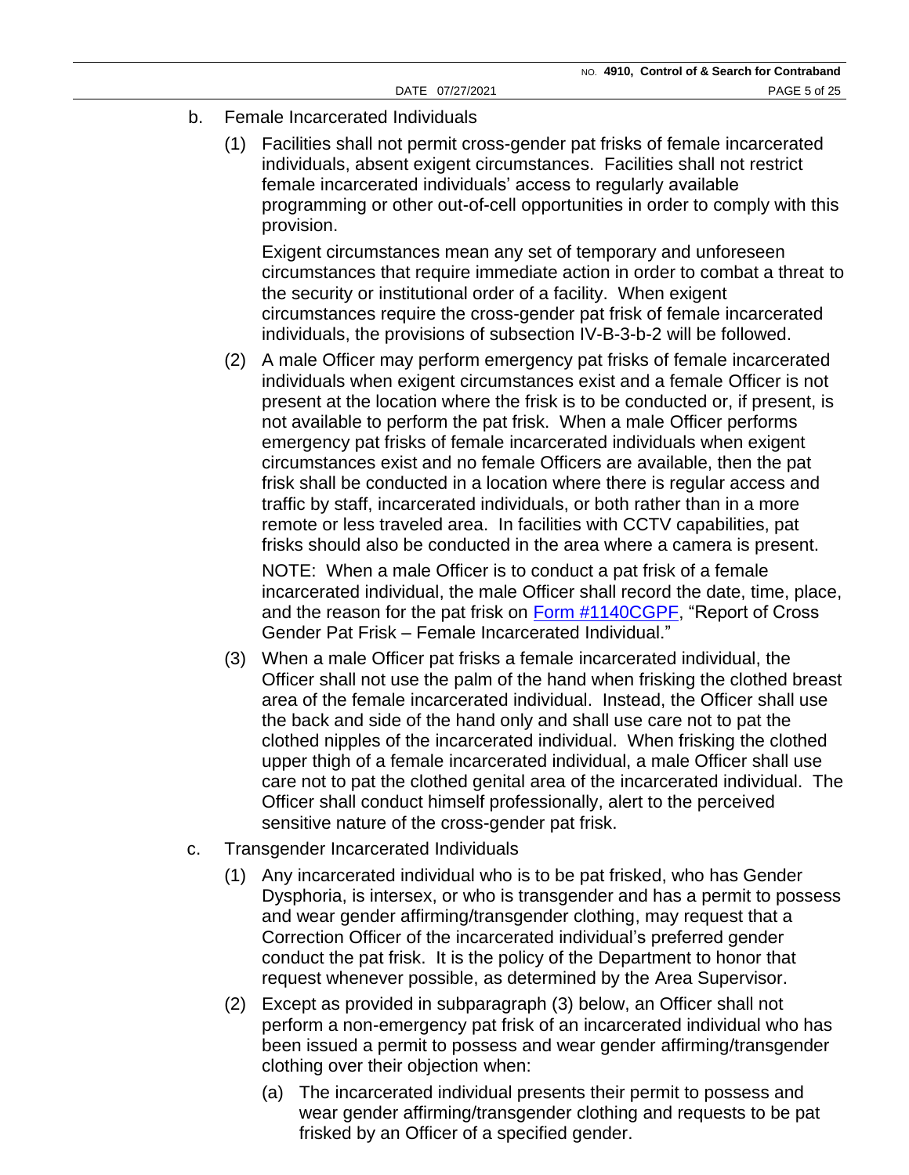- b. Female Incarcerated Individuals
	- (1) Facilities shall not permit cross-gender pat frisks of female incarcerated individuals, absent exigent circumstances. Facilities shall not restrict female incarcerated individuals' access to regularly available programming or other out-of-cell opportunities in order to comply with this provision.

Exigent circumstances mean any set of temporary and unforeseen circumstances that require immediate action in order to combat a threat to the security or institutional order of a facility. When exigent circumstances require the cross-gender pat frisk of female incarcerated individuals, the provisions of subsection IV-B-3-b-2 will be followed.

(2) A male Officer may perform emergency pat frisks of female incarcerated individuals when exigent circumstances exist and a female Officer is not present at the location where the frisk is to be conducted or, if present, is not available to perform the pat frisk. When a male Officer performs emergency pat frisks of female incarcerated individuals when exigent circumstances exist and no female Officers are available, then the pat frisk shall be conducted in a location where there is regular access and traffic by staff, incarcerated individuals, or both rather than in a more remote or less traveled area. In facilities with CCTV capabilities, pat frisks should also be conducted in the area where a camera is present.

NOTE: When a male Officer is to conduct a pat frisk of a female incarcerated individual, the male Officer shall record the date, time, place, and the reason for the pat frisk on [Form #1140CGPF,](https://doccs.ny.gov/directives/Frm1140C.pdf) "Report of Cross Gender Pat Frisk – Female Incarcerated Individual."

- (3) When a male Officer pat frisks a female incarcerated individual, the Officer shall not use the palm of the hand when frisking the clothed breast area of the female incarcerated individual. Instead, the Officer shall use the back and side of the hand only and shall use care not to pat the clothed nipples of the incarcerated individual. When frisking the clothed upper thigh of a female incarcerated individual, a male Officer shall use care not to pat the clothed genital area of the incarcerated individual. The Officer shall conduct himself professionally, alert to the perceived sensitive nature of the cross-gender pat frisk.
- c. Transgender Incarcerated Individuals
	- (1) Any incarcerated individual who is to be pat frisked, who has Gender Dysphoria, is intersex, or who is transgender and has a permit to possess and wear gender affirming/transgender clothing, may request that a Correction Officer of the incarcerated individual's preferred gender conduct the pat frisk. It is the policy of the Department to honor that request whenever possible, as determined by the Area Supervisor.
	- (2) Except as provided in subparagraph (3) below, an Officer shall not perform a non-emergency pat frisk of an incarcerated individual who has been issued a permit to possess and wear gender affirming/transgender clothing over their objection when:
		- (a) The incarcerated individual presents their permit to possess and wear gender affirming/transgender clothing and requests to be pat frisked by an Officer of a specified gender.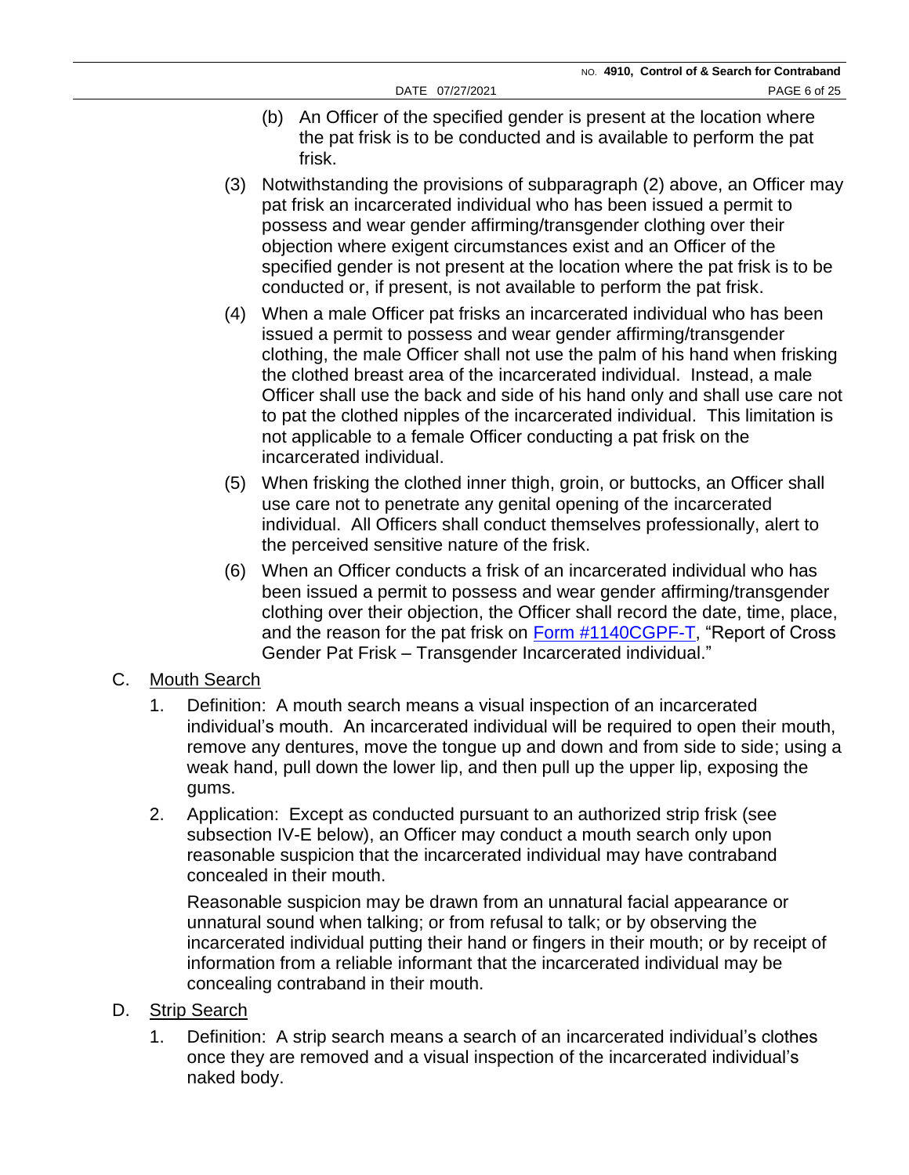- (b) An Officer of the specified gender is present at the location where the pat frisk is to be conducted and is available to perform the pat frisk.
- (3) Notwithstanding the provisions of subparagraph (2) above, an Officer may pat frisk an incarcerated individual who has been issued a permit to possess and wear gender affirming/transgender clothing over their objection where exigent circumstances exist and an Officer of the specified gender is not present at the location where the pat frisk is to be conducted or, if present, is not available to perform the pat frisk.
- (4) When a male Officer pat frisks an incarcerated individual who has been issued a permit to possess and wear gender affirming/transgender clothing, the male Officer shall not use the palm of his hand when frisking the clothed breast area of the incarcerated individual. Instead, a male Officer shall use the back and side of his hand only and shall use care not to pat the clothed nipples of the incarcerated individual. This limitation is not applicable to a female Officer conducting a pat frisk on the incarcerated individual.
- (5) When frisking the clothed inner thigh, groin, or buttocks, an Officer shall use care not to penetrate any genital opening of the incarcerated individual. All Officers shall conduct themselves professionally, alert to the perceived sensitive nature of the frisk.
- (6) When an Officer conducts a frisk of an incarcerated individual who has been issued a permit to possess and wear gender affirming/transgender clothing over their objection, the Officer shall record the date, time, place, and the reason for the pat frisk on [Form #1140CGPF-T,](https://doccs.ny.gov/directives/frm1140CGPF-T.pdf) "Report of Cross Gender Pat Frisk – Transgender Incarcerated individual."

# C. Mouth Search

- 1. Definition: A mouth search means a visual inspection of an incarcerated individual's mouth. An incarcerated individual will be required to open their mouth, remove any dentures, move the tongue up and down and from side to side; using a weak hand, pull down the lower lip, and then pull up the upper lip, exposing the gums.
- 2. Application: Except as conducted pursuant to an authorized strip frisk (see subsection IV-E below), an Officer may conduct a mouth search only upon reasonable suspicion that the incarcerated individual may have contraband concealed in their mouth.

Reasonable suspicion may be drawn from an unnatural facial appearance or unnatural sound when talking; or from refusal to talk; or by observing the incarcerated individual putting their hand or fingers in their mouth; or by receipt of information from a reliable informant that the incarcerated individual may be concealing contraband in their mouth.

#### D. Strip Search

1. Definition: A strip search means a search of an incarcerated individual's clothes once they are removed and a visual inspection of the incarcerated individual's naked body.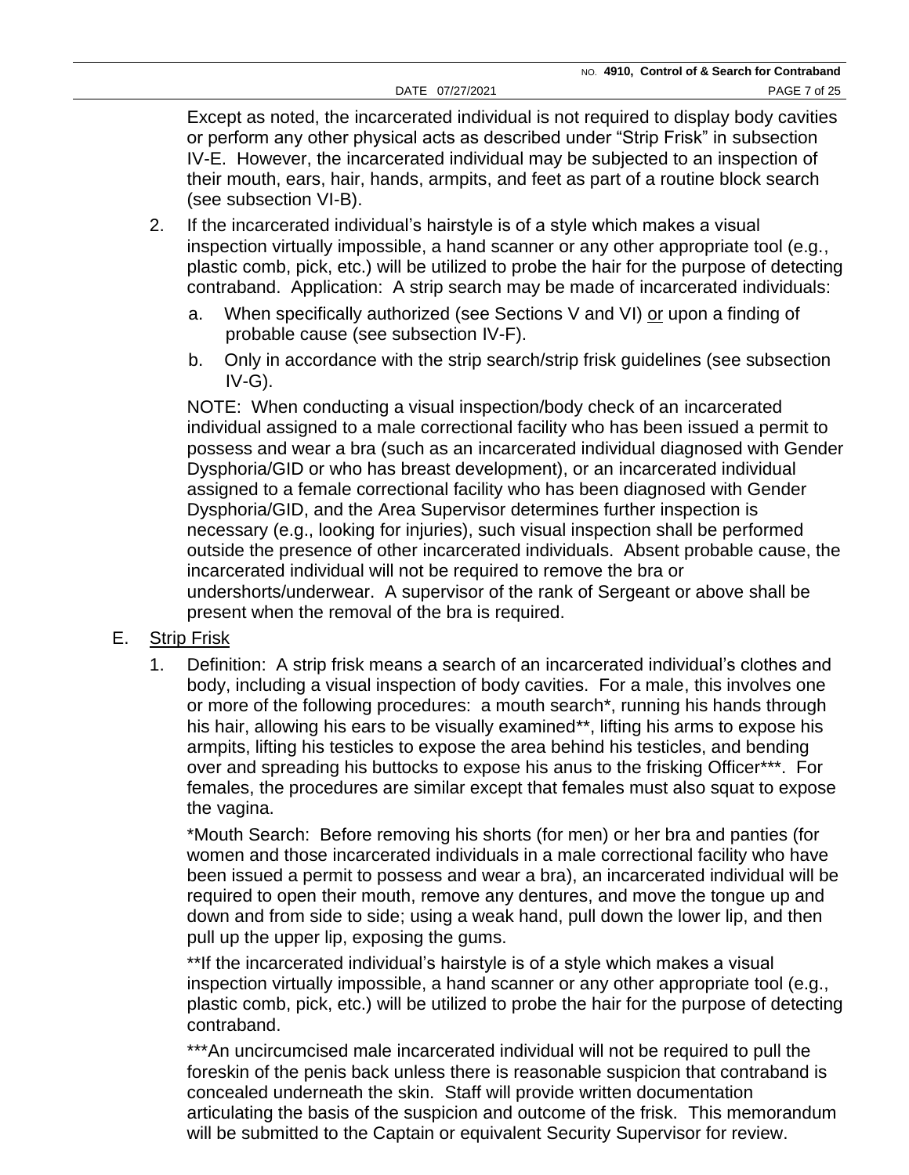Except as noted, the incarcerated individual is not required to display body cavities or perform any other physical acts as described under "Strip Frisk" in subsection IV-E. However, the incarcerated individual may be subjected to an inspection of their mouth, ears, hair, hands, armpits, and feet as part of a routine block search (see subsection VI-B).

- 2. If the incarcerated individual's hairstyle is of a style which makes a visual inspection virtually impossible, a hand scanner or any other appropriate tool (e.g., plastic comb, pick, etc.) will be utilized to probe the hair for the purpose of detecting contraband. Application: A strip search may be made of incarcerated individuals:
	- a. When specifically authorized (see Sections V and VI) or upon a finding of probable cause (see subsection IV-F).
	- b. Only in accordance with the strip search/strip frisk guidelines (see subsection IV-G).

NOTE: When conducting a visual inspection/body check of an incarcerated individual assigned to a male correctional facility who has been issued a permit to possess and wear a bra (such as an incarcerated individual diagnosed with Gender Dysphoria/GID or who has breast development), or an incarcerated individual assigned to a female correctional facility who has been diagnosed with Gender Dysphoria/GID, and the Area Supervisor determines further inspection is necessary (e.g., looking for injuries), such visual inspection shall be performed outside the presence of other incarcerated individuals. Absent probable cause, the incarcerated individual will not be required to remove the bra or undershorts/underwear. A supervisor of the rank of Sergeant or above shall be present when the removal of the bra is required.

# E. Strip Frisk

1. Definition: A strip frisk means a search of an incarcerated individual's clothes and body, including a visual inspection of body cavities. For a male, this involves one or more of the following procedures: a mouth search\*, running his hands through his hair, allowing his ears to be visually examined\*\*, lifting his arms to expose his armpits, lifting his testicles to expose the area behind his testicles, and bending over and spreading his buttocks to expose his anus to the frisking Officer\*\*\*. For females, the procedures are similar except that females must also squat to expose the vagina.

\*Mouth Search: Before removing his shorts (for men) or her bra and panties (for women and those incarcerated individuals in a male correctional facility who have been issued a permit to possess and wear a bra), an incarcerated individual will be required to open their mouth, remove any dentures, and move the tongue up and down and from side to side; using a weak hand, pull down the lower lip, and then pull up the upper lip, exposing the gums.

\*\*If the incarcerated individual's hairstyle is of a style which makes a visual inspection virtually impossible, a hand scanner or any other appropriate tool (e.g., plastic comb, pick, etc.) will be utilized to probe the hair for the purpose of detecting contraband.

\*\*\*An uncircumcised male incarcerated individual will not be required to pull the foreskin of the penis back unless there is reasonable suspicion that contraband is concealed underneath the skin. Staff will provide written documentation articulating the basis of the suspicion and outcome of the frisk. This memorandum will be submitted to the Captain or equivalent Security Supervisor for review.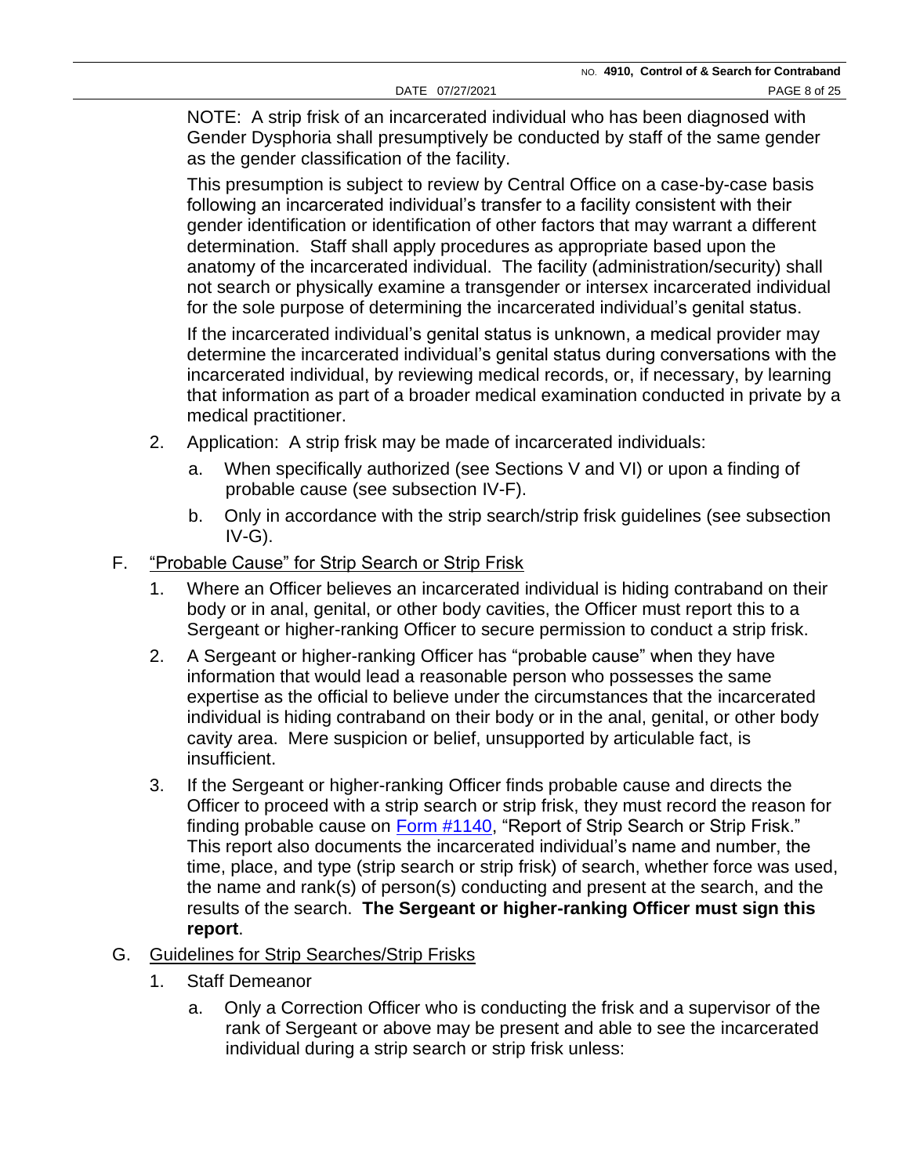NOTE: A strip frisk of an incarcerated individual who has been diagnosed with Gender Dysphoria shall presumptively be conducted by staff of the same gender as the gender classification of the facility.

This presumption is subject to review by Central Office on a case-by-case basis following an incarcerated individual's transfer to a facility consistent with their gender identification or identification of other factors that may warrant a different determination. Staff shall apply procedures as appropriate based upon the anatomy of the incarcerated individual. The facility (administration/security) shall not search or physically examine a transgender or intersex incarcerated individual for the sole purpose of determining the incarcerated individual's genital status.

If the incarcerated individual's genital status is unknown, a medical provider may determine the incarcerated individual's genital status during conversations with the incarcerated individual, by reviewing medical records, or, if necessary, by learning that information as part of a broader medical examination conducted in private by a medical practitioner.

- 2. Application: A strip frisk may be made of incarcerated individuals:
	- a. When specifically authorized (see Sections V and VI) or upon a finding of probable cause (see subsection IV-F).
	- b. Only in accordance with the strip search/strip frisk guidelines (see subsection IV-G).
- F. "Probable Cause" for Strip Search or Strip Frisk
	- 1. Where an Officer believes an incarcerated individual is hiding contraband on their body or in anal, genital, or other body cavities, the Officer must report this to a Sergeant or higher-ranking Officer to secure permission to conduct a strip frisk.
	- 2. A Sergeant or higher-ranking Officer has "probable cause" when they have information that would lead a reasonable person who possesses the same expertise as the official to believe under the circumstances that the incarcerated individual is hiding contraband on their body or in the anal, genital, or other body cavity area. Mere suspicion or belief, unsupported by articulable fact, is insufficient.
	- 3. If the Sergeant or higher-ranking Officer finds probable cause and directs the Officer to proceed with a strip search or strip frisk, they must record the reason for finding probable cause on [Form #1140,](https://doccs.ny.gov/directives/Frm1140.pdf) "Report of Strip Search or Strip Frisk." This report also documents the incarcerated individual's name and number, the time, place, and type (strip search or strip frisk) of search, whether force was used, the name and rank(s) of person(s) conducting and present at the search, and the results of the search. **The Sergeant or higher-ranking Officer must sign this report**.
- G. Guidelines for Strip Searches/Strip Frisks
	- 1. Staff Demeanor
		- a. Only a Correction Officer who is conducting the frisk and a supervisor of the rank of Sergeant or above may be present and able to see the incarcerated individual during a strip search or strip frisk unless: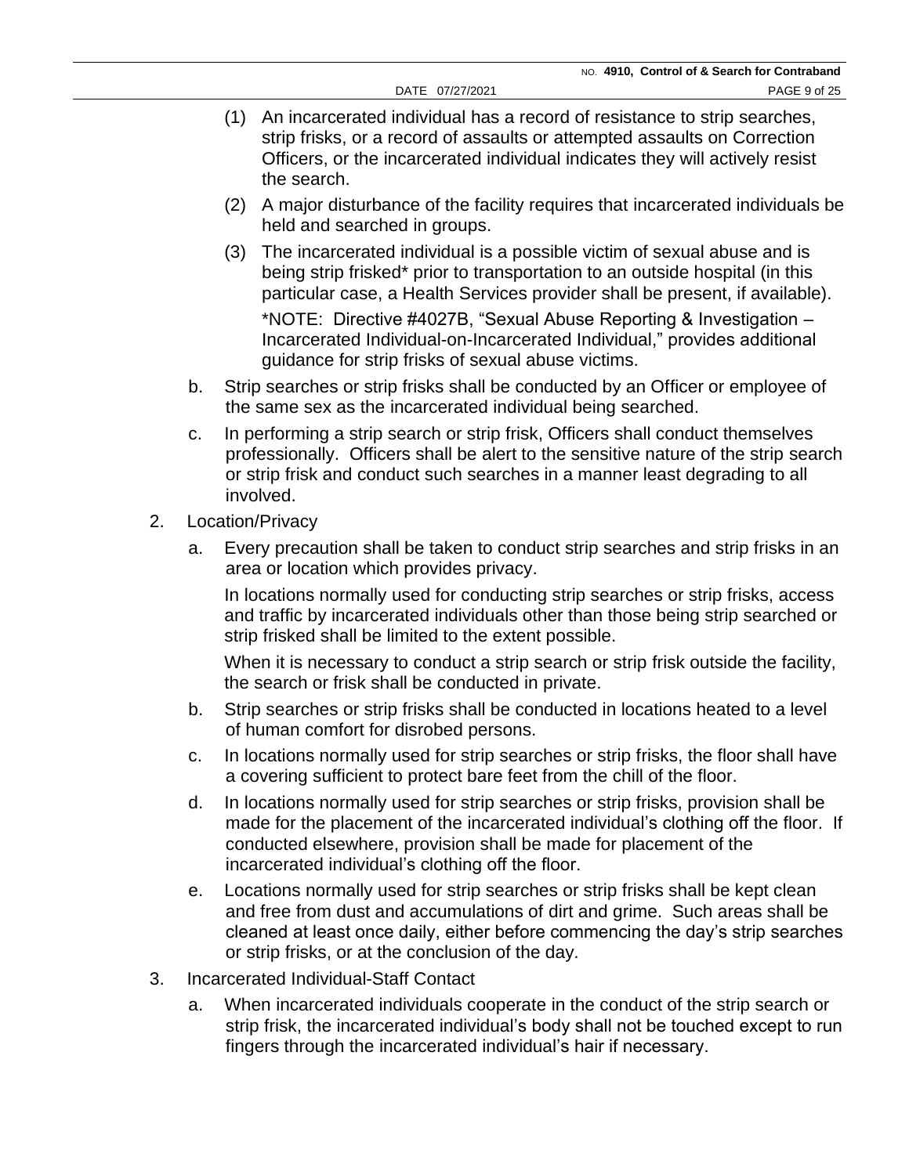- (1) An incarcerated individual has a record of resistance to strip searches, strip frisks, or a record of assaults or attempted assaults on Correction Officers, or the incarcerated individual indicates they will actively resist the search.
- (2) A major disturbance of the facility requires that incarcerated individuals be held and searched in groups.
- (3) The incarcerated individual is a possible victim of sexual abuse and is being strip frisked\* prior to transportation to an outside hospital (in this particular case, a Health Services provider shall be present, if available).

\*NOTE: Directive #4027B, "Sexual Abuse Reporting & Investigation – Incarcerated Individual-on-Incarcerated Individual," provides additional guidance for strip frisks of sexual abuse victims.

- b. Strip searches or strip frisks shall be conducted by an Officer or employee of the same sex as the incarcerated individual being searched.
- c. In performing a strip search or strip frisk, Officers shall conduct themselves professionally. Officers shall be alert to the sensitive nature of the strip search or strip frisk and conduct such searches in a manner least degrading to all involved.
- 2. Location/Privacy
	- a. Every precaution shall be taken to conduct strip searches and strip frisks in an area or location which provides privacy.

In locations normally used for conducting strip searches or strip frisks, access and traffic by incarcerated individuals other than those being strip searched or strip frisked shall be limited to the extent possible.

When it is necessary to conduct a strip search or strip frisk outside the facility, the search or frisk shall be conducted in private.

- b. Strip searches or strip frisks shall be conducted in locations heated to a level of human comfort for disrobed persons.
- c. In locations normally used for strip searches or strip frisks, the floor shall have a covering sufficient to protect bare feet from the chill of the floor.
- d. In locations normally used for strip searches or strip frisks, provision shall be made for the placement of the incarcerated individual's clothing off the floor. If conducted elsewhere, provision shall be made for placement of the incarcerated individual's clothing off the floor.
- e. Locations normally used for strip searches or strip frisks shall be kept clean and free from dust and accumulations of dirt and grime. Such areas shall be cleaned at least once daily, either before commencing the day's strip searches or strip frisks, or at the conclusion of the day.
- 3. Incarcerated Individual-Staff Contact
	- a. When incarcerated individuals cooperate in the conduct of the strip search or strip frisk, the incarcerated individual's body shall not be touched except to run fingers through the incarcerated individual's hair if necessary.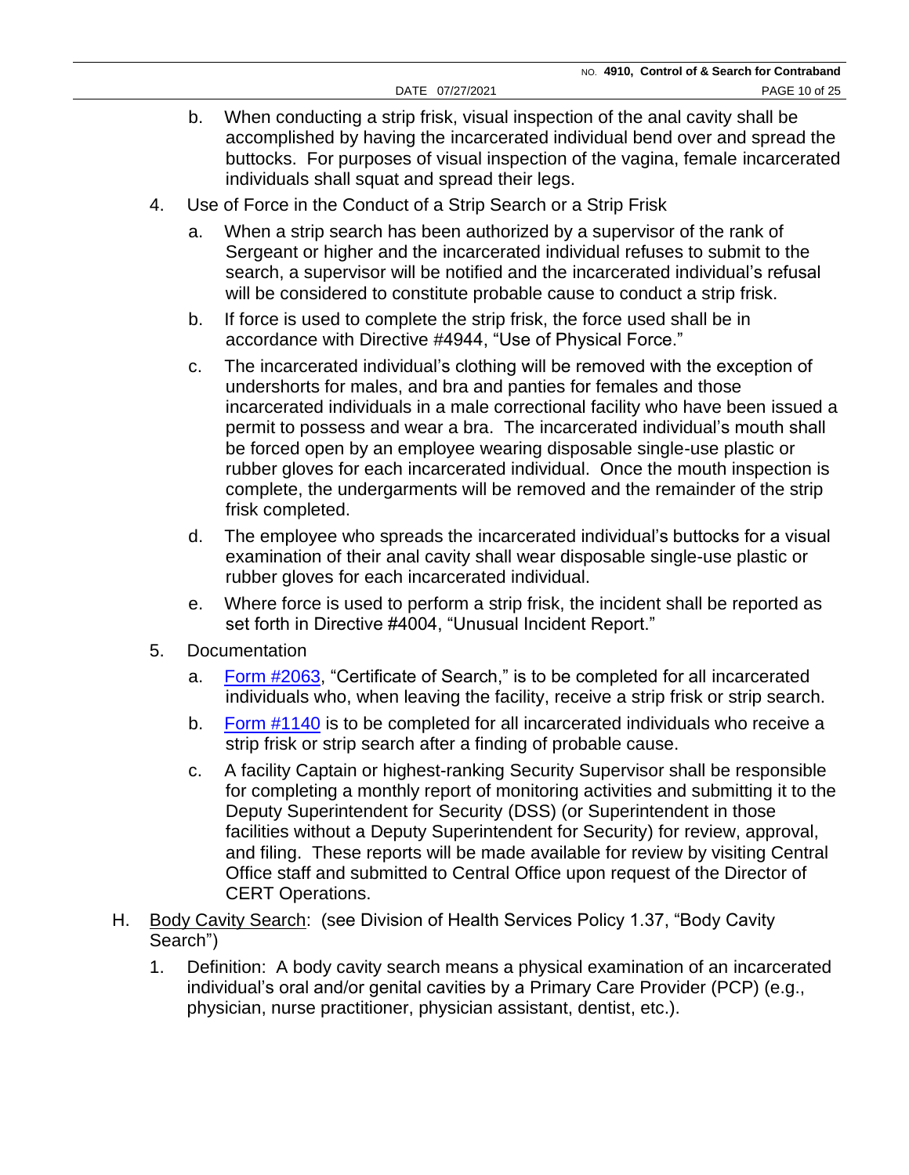- b. When conducting a strip frisk, visual inspection of the anal cavity shall be accomplished by having the incarcerated individual bend over and spread the buttocks. For purposes of visual inspection of the vagina, female incarcerated individuals shall squat and spread their legs.
- 4. Use of Force in the Conduct of a Strip Search or a Strip Frisk
	- a. When a strip search has been authorized by a supervisor of the rank of Sergeant or higher and the incarcerated individual refuses to submit to the search, a supervisor will be notified and the incarcerated individual's refusal will be considered to constitute probable cause to conduct a strip frisk.
	- b. If force is used to complete the strip frisk, the force used shall be in accordance with Directive #4944, "Use of Physical Force."
	- c. The incarcerated individual's clothing will be removed with the exception of undershorts for males, and bra and panties for females and those incarcerated individuals in a male correctional facility who have been issued a permit to possess and wear a bra. The incarcerated individual's mouth shall be forced open by an employee wearing disposable single-use plastic or rubber gloves for each incarcerated individual. Once the mouth inspection is complete, the undergarments will be removed and the remainder of the strip frisk completed.
	- d. The employee who spreads the incarcerated individual's buttocks for a visual examination of their anal cavity shall wear disposable single-use plastic or rubber gloves for each incarcerated individual.
	- e. Where force is used to perform a strip frisk, the incident shall be reported as set forth in Directive #4004, "Unusual Incident Report."
- 5. Documentation
	- a. [Form #2063,](https://doccs.ny.gov/directives/Frm2063.pdf) "Certificate of Search," is to be completed for all incarcerated individuals who, when leaving the facility, receive a strip frisk or strip search.
	- b. [Form #1140](https://doccs.ny.gov/directives/Frm1140.pdf) is to be completed for all incarcerated individuals who receive a strip frisk or strip search after a finding of probable cause.
	- c. A facility Captain or highest-ranking Security Supervisor shall be responsible for completing a monthly report of monitoring activities and submitting it to the Deputy Superintendent for Security (DSS) (or Superintendent in those facilities without a Deputy Superintendent for Security) for review, approval, and filing. These reports will be made available for review by visiting Central Office staff and submitted to Central Office upon request of the Director of CERT Operations.
- H. Body Cavity Search: (see Division of Health Services Policy 1.37, "Body Cavity Search")
	- 1. Definition: A body cavity search means a physical examination of an incarcerated individual's oral and/or genital cavities by a Primary Care Provider (PCP) (e.g., physician, nurse practitioner, physician assistant, dentist, etc.).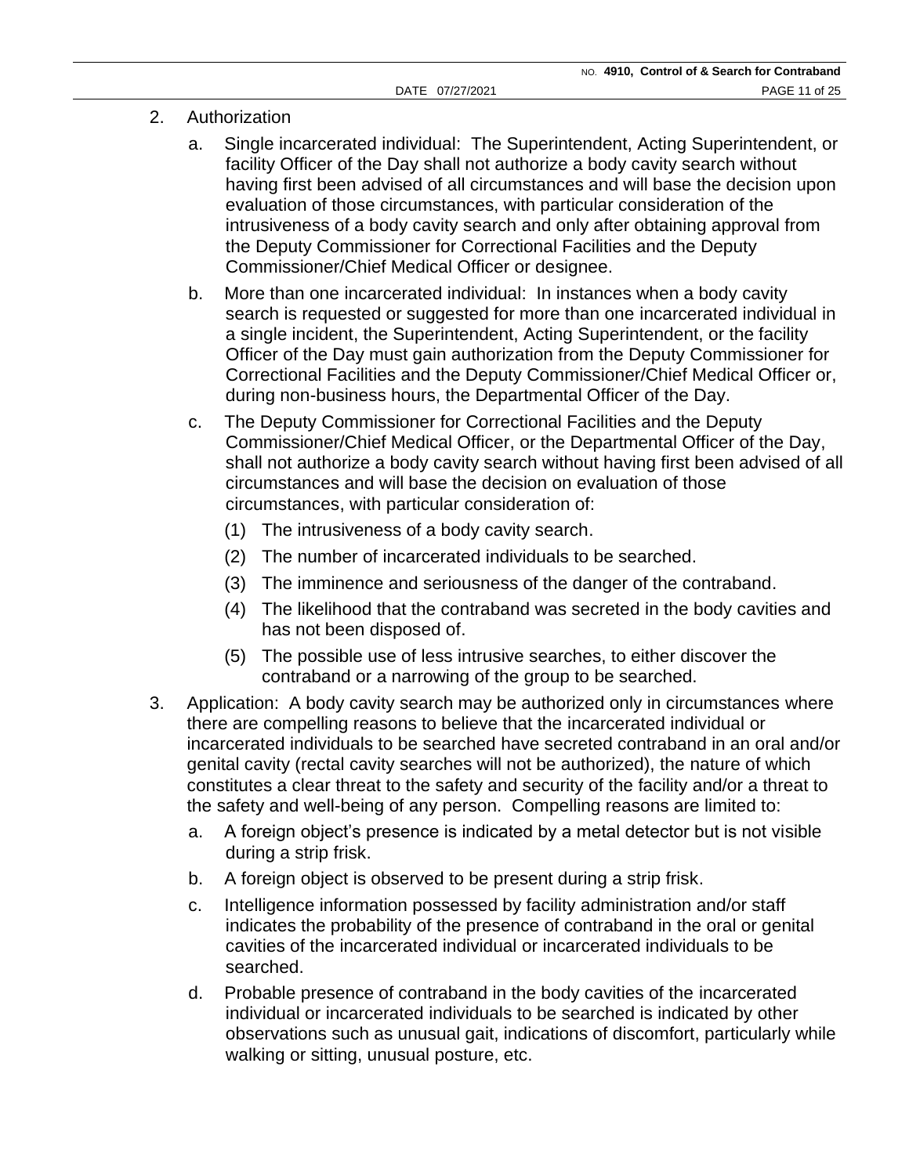- 2. Authorization
	- a. Single incarcerated individual: The Superintendent, Acting Superintendent, or facility Officer of the Day shall not authorize a body cavity search without having first been advised of all circumstances and will base the decision upon evaluation of those circumstances, with particular consideration of the intrusiveness of a body cavity search and only after obtaining approval from the Deputy Commissioner for Correctional Facilities and the Deputy Commissioner/Chief Medical Officer or designee.
	- b. More than one incarcerated individual: In instances when a body cavity search is requested or suggested for more than one incarcerated individual in a single incident, the Superintendent, Acting Superintendent, or the facility Officer of the Day must gain authorization from the Deputy Commissioner for Correctional Facilities and the Deputy Commissioner/Chief Medical Officer or, during non-business hours, the Departmental Officer of the Day.
	- c. The Deputy Commissioner for Correctional Facilities and the Deputy Commissioner/Chief Medical Officer, or the Departmental Officer of the Day, shall not authorize a body cavity search without having first been advised of all circumstances and will base the decision on evaluation of those circumstances, with particular consideration of:
		- (1) The intrusiveness of a body cavity search.
		- (2) The number of incarcerated individuals to be searched.
		- (3) The imminence and seriousness of the danger of the contraband.
		- (4) The likelihood that the contraband was secreted in the body cavities and has not been disposed of.
		- (5) The possible use of less intrusive searches, to either discover the contraband or a narrowing of the group to be searched.
- 3. Application: A body cavity search may be authorized only in circumstances where there are compelling reasons to believe that the incarcerated individual or incarcerated individuals to be searched have secreted contraband in an oral and/or genital cavity (rectal cavity searches will not be authorized), the nature of which constitutes a clear threat to the safety and security of the facility and/or a threat to the safety and well-being of any person. Compelling reasons are limited to:
	- a. A foreign object's presence is indicated by a metal detector but is not visible during a strip frisk.
	- b. A foreign object is observed to be present during a strip frisk.
	- c. Intelligence information possessed by facility administration and/or staff indicates the probability of the presence of contraband in the oral or genital cavities of the incarcerated individual or incarcerated individuals to be searched.
	- d. Probable presence of contraband in the body cavities of the incarcerated individual or incarcerated individuals to be searched is indicated by other observations such as unusual gait, indications of discomfort, particularly while walking or sitting, unusual posture, etc.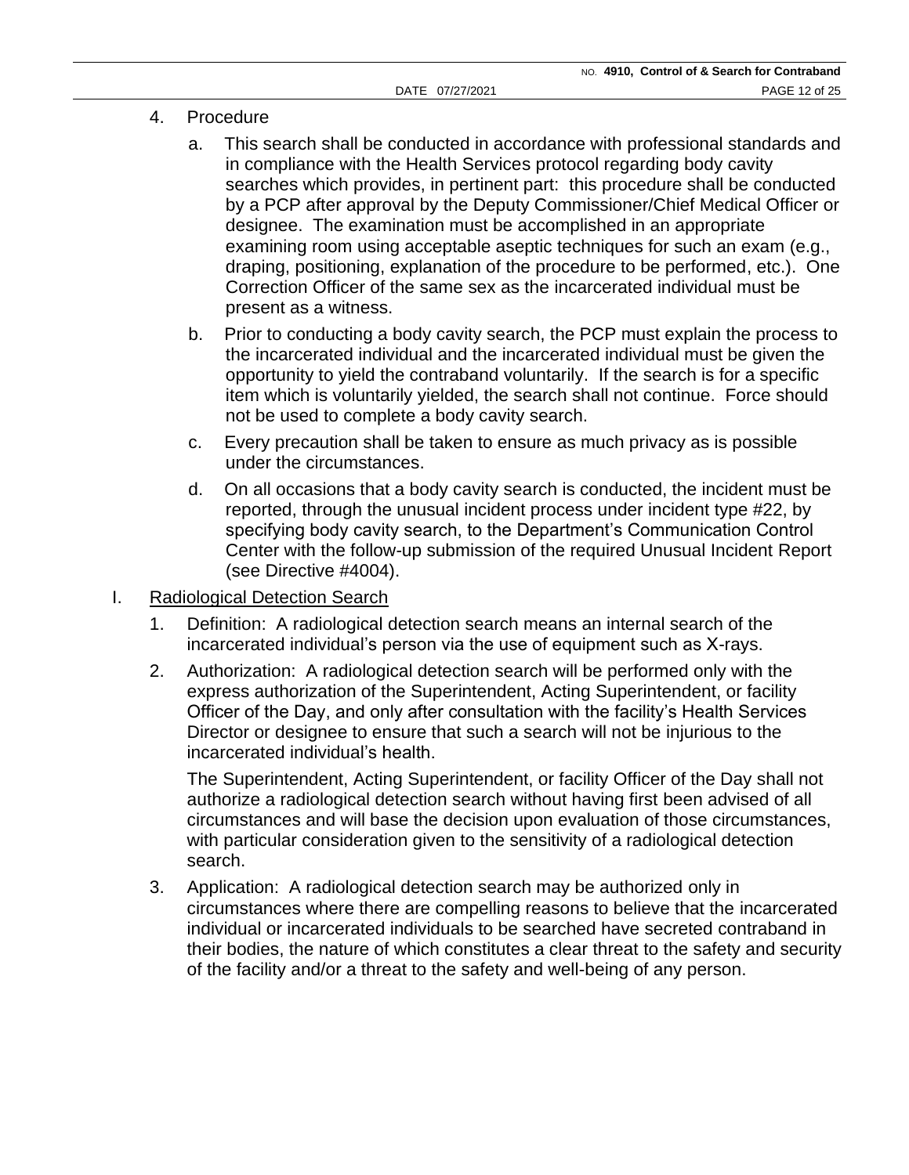- 4. Procedure
	- a. This search shall be conducted in accordance with professional standards and in compliance with the Health Services protocol regarding body cavity searches which provides, in pertinent part: this procedure shall be conducted by a PCP after approval by the Deputy Commissioner/Chief Medical Officer or designee. The examination must be accomplished in an appropriate examining room using acceptable aseptic techniques for such an exam (e.g., draping, positioning, explanation of the procedure to be performed, etc.). One Correction Officer of the same sex as the incarcerated individual must be present as a witness.
	- b. Prior to conducting a body cavity search, the PCP must explain the process to the incarcerated individual and the incarcerated individual must be given the opportunity to yield the contraband voluntarily. If the search is for a specific item which is voluntarily yielded, the search shall not continue. Force should not be used to complete a body cavity search.
	- c. Every precaution shall be taken to ensure as much privacy as is possible under the circumstances.
	- d. On all occasions that a body cavity search is conducted, the incident must be reported, through the unusual incident process under incident type #22, by specifying body cavity search, to the Department's Communication Control Center with the follow-up submission of the required Unusual Incident Report (see Directive #4004).
- I. Radiological Detection Search
	- 1. Definition: A radiological detection search means an internal search of the incarcerated individual's person via the use of equipment such as X-rays.
	- 2. Authorization: A radiological detection search will be performed only with the express authorization of the Superintendent, Acting Superintendent, or facility Officer of the Day, and only after consultation with the facility's Health Services Director or designee to ensure that such a search will not be injurious to the incarcerated individual's health.

The Superintendent, Acting Superintendent, or facility Officer of the Day shall not authorize a radiological detection search without having first been advised of all circumstances and will base the decision upon evaluation of those circumstances, with particular consideration given to the sensitivity of a radiological detection search.

3. Application: A radiological detection search may be authorized only in circumstances where there are compelling reasons to believe that the incarcerated individual or incarcerated individuals to be searched have secreted contraband in their bodies, the nature of which constitutes a clear threat to the safety and security of the facility and/or a threat to the safety and well-being of any person.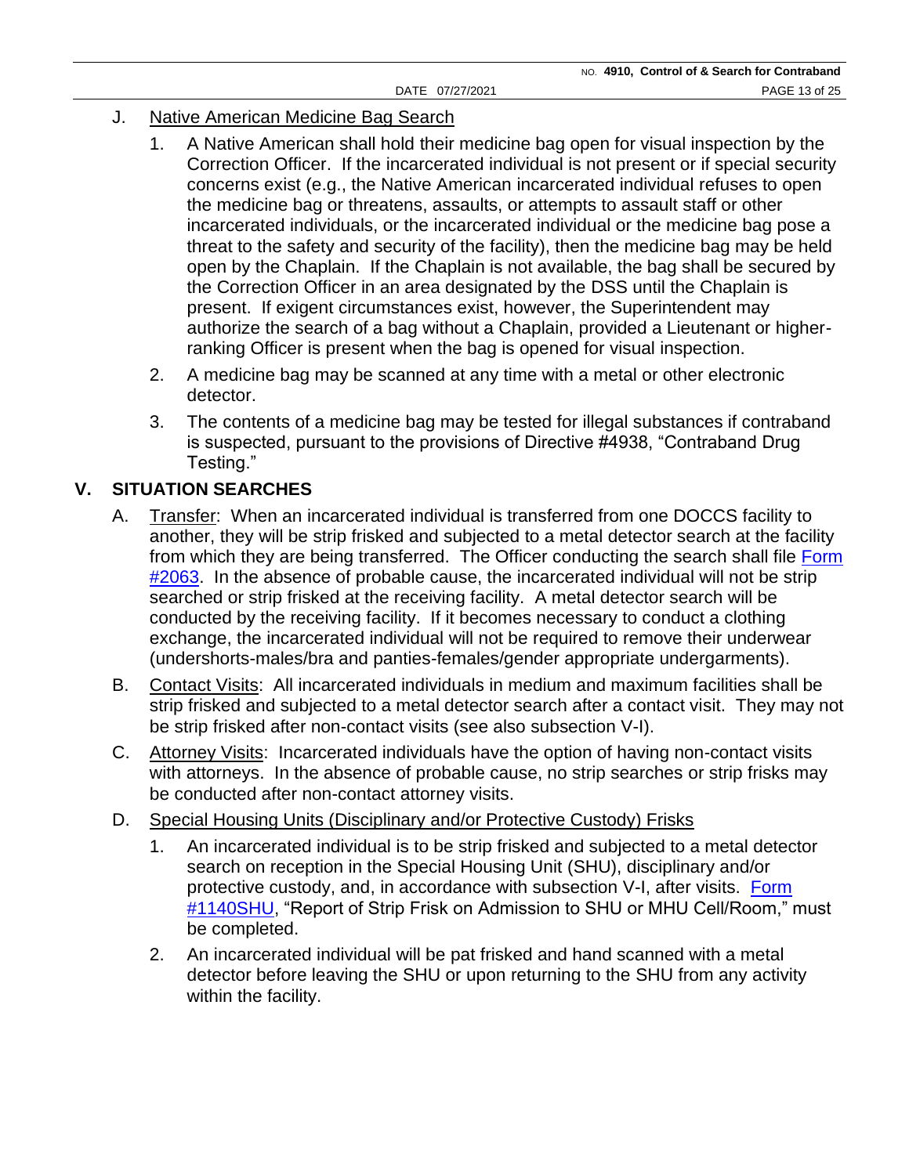- J. Native American Medicine Bag Search
	- 1. A Native American shall hold their medicine bag open for visual inspection by the Correction Officer. If the incarcerated individual is not present or if special security concerns exist (e.g., the Native American incarcerated individual refuses to open the medicine bag or threatens, assaults, or attempts to assault staff or other incarcerated individuals, or the incarcerated individual or the medicine bag pose a threat to the safety and security of the facility), then the medicine bag may be held open by the Chaplain. If the Chaplain is not available, the bag shall be secured by the Correction Officer in an area designated by the DSS until the Chaplain is present. If exigent circumstances exist, however, the Superintendent may authorize the search of a bag without a Chaplain, provided a Lieutenant or higherranking Officer is present when the bag is opened for visual inspection.
	- 2. A medicine bag may be scanned at any time with a metal or other electronic detector.
	- 3. The contents of a medicine bag may be tested for illegal substances if contraband is suspected, pursuant to the provisions of Directive #4938, "Contraband Drug Testing."

## **V. SITUATION SEARCHES**

- A. Transfer: When an incarcerated individual is transferred from one DOCCS facility to another, they will be strip frisked and subjected to a metal detector search at the facility from which they are being transferred. The Officer conducting the search shall file [Form](https://doccs.ny.gov/directives/Frm2063.pdf)   $\frac{\#2063}{\#2063}$ . In the absence of probable cause, the incarcerated individual will not be strip searched or strip frisked at the receiving facility. A metal detector search will be conducted by the receiving facility. If it becomes necessary to conduct a clothing exchange, the incarcerated individual will not be required to remove their underwear (undershorts-males/bra and panties-females/gender appropriate undergarments).
- B. Contact Visits: All incarcerated individuals in medium and maximum facilities shall be strip frisked and subjected to a metal detector search after a contact visit. They may not be strip frisked after non-contact visits (see also subsection V-I).
- C. Attorney Visits: Incarcerated individuals have the option of having non-contact visits with attorneys. In the absence of probable cause, no strip searches or strip frisks may be conducted after non-contact attorney visits.
- D. Special Housing Units (Disciplinary and/or Protective Custody) Frisks
	- 1. An incarcerated individual is to be strip frisked and subjected to a metal detector search on reception in the Special Housing Unit (SHU), disciplinary and/or protective custody, and, in accordance with subsection V-I, after visits. Form [#1140SHU,](https://doccs.ny.gov/directives/Frm1140S.pdf) "Report of Strip Frisk on Admission to SHU or MHU Cell/Room," must be completed.
	- 2. An incarcerated individual will be pat frisked and hand scanned with a metal detector before leaving the SHU or upon returning to the SHU from any activity within the facility.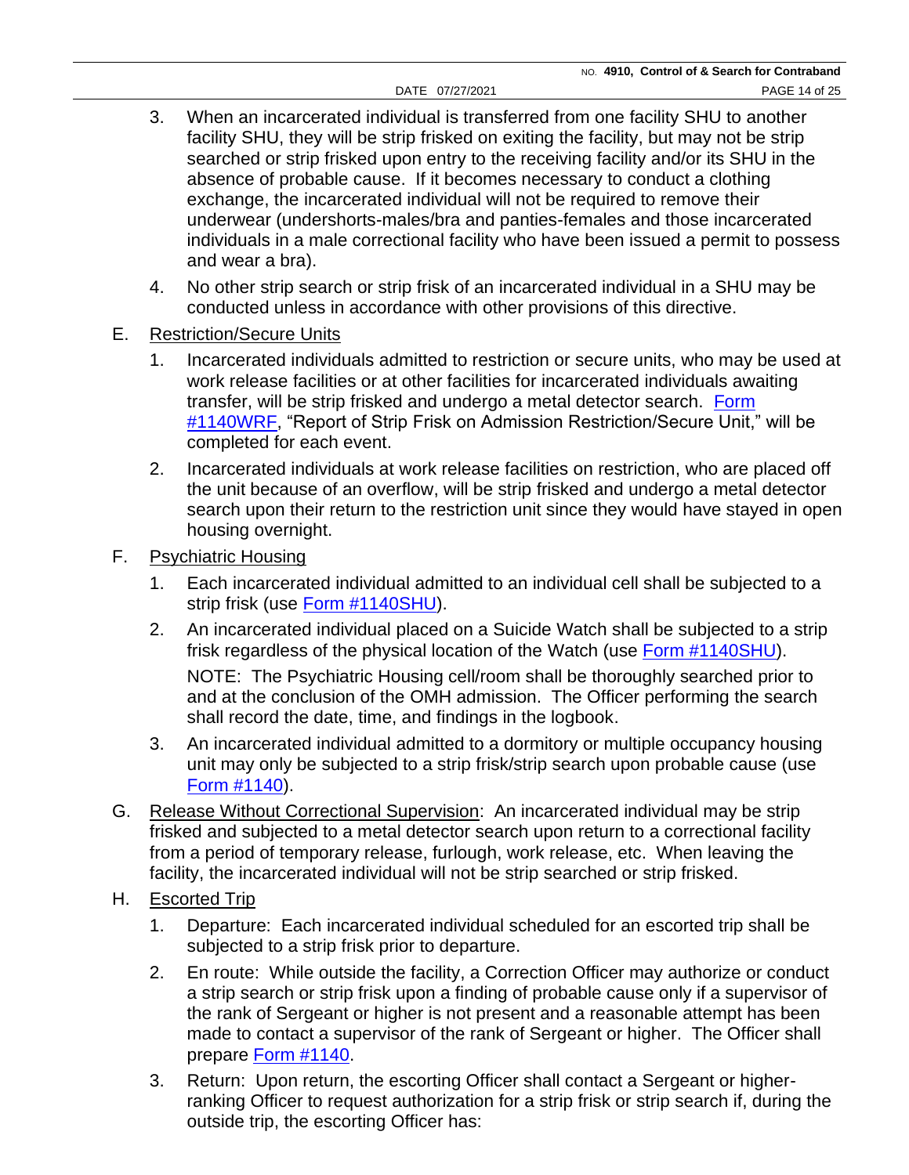- 3. When an incarcerated individual is transferred from one facility SHU to another facility SHU, they will be strip frisked on exiting the facility, but may not be strip searched or strip frisked upon entry to the receiving facility and/or its SHU in the absence of probable cause. If it becomes necessary to conduct a clothing exchange, the incarcerated individual will not be required to remove their underwear (undershorts-males/bra and panties-females and those incarcerated individuals in a male correctional facility who have been issued a permit to possess and wear a bra).
- 4. No other strip search or strip frisk of an incarcerated individual in a SHU may be conducted unless in accordance with other provisions of this directive.
- E. Restriction/Secure Units
	- 1. Incarcerated individuals admitted to restriction or secure units, who may be used at work release facilities or at other facilities for incarcerated individuals awaiting transfer, will be strip frisked and undergo a metal detector search. [Form](https://doccs.ny.gov/directives/Frm1140w.pdf)  [#1140WRF,](https://doccs.ny.gov/directives/Frm1140w.pdf) "Report of Strip Frisk on Admission Restriction/Secure Unit," will be completed for each event.
	- 2. Incarcerated individuals at work release facilities on restriction, who are placed off the unit because of an overflow, will be strip frisked and undergo a metal detector search upon their return to the restriction unit since they would have stayed in open housing overnight.
- F. Psychiatric Housing
	- 1. Each incarcerated individual admitted to an individual cell shall be subjected to a strip frisk (use [Form #1140SHU\)](https://doccs.ny.gov/directives/Frm1140S.pdf).
	- 2. An incarcerated individual placed on a Suicide Watch shall be subjected to a strip frisk regardless of the physical location of the Watch (use [Form #1140SHU\)](https://doccs.ny.gov/directives/Frm1140S.pdf).

NOTE: The Psychiatric Housing cell/room shall be thoroughly searched prior to and at the conclusion of the OMH admission. The Officer performing the search shall record the date, time, and findings in the logbook.

- 3. An incarcerated individual admitted to a dormitory or multiple occupancy housing unit may only be subjected to a strip frisk/strip search upon probable cause (use [Form #1140\)](https://doccs.ny.gov/directives/Frm1140.pdf).
- G. Release Without Correctional Supervision: An incarcerated individual may be strip frisked and subjected to a metal detector search upon return to a correctional facility from a period of temporary release, furlough, work release, etc. When leaving the facility, the incarcerated individual will not be strip searched or strip frisked.
- H. Escorted Trip
	- 1. Departure: Each incarcerated individual scheduled for an escorted trip shall be subjected to a strip frisk prior to departure.
	- 2. En route: While outside the facility, a Correction Officer may authorize or conduct a strip search or strip frisk upon a finding of probable cause only if a supervisor of the rank of Sergeant or higher is not present and a reasonable attempt has been made to contact a supervisor of the rank of Sergeant or higher. The Officer shall prepare [Form #1140.](https://doccs.ny.gov/directives/Frm1140.pdf)
	- 3. Return: Upon return, the escorting Officer shall contact a Sergeant or higherranking Officer to request authorization for a strip frisk or strip search if, during the outside trip, the escorting Officer has: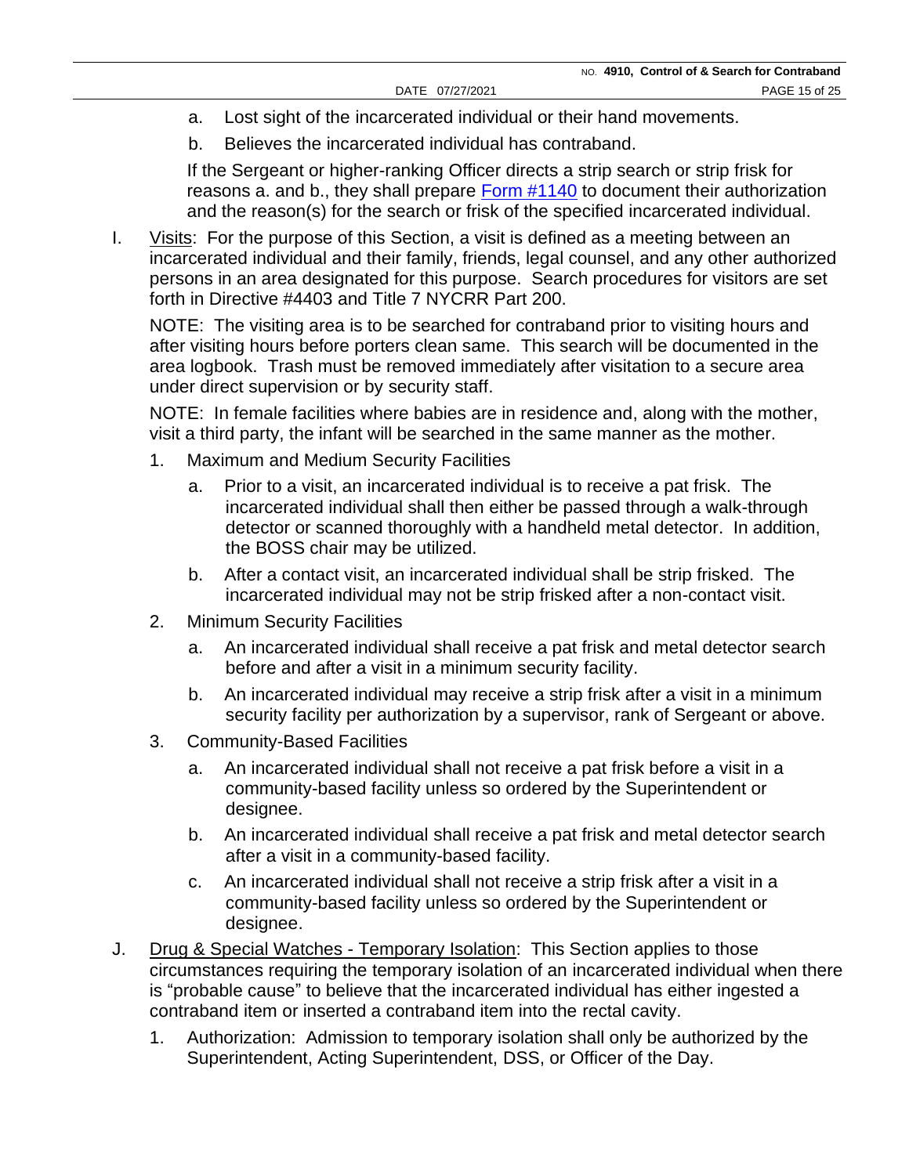- a. Lost sight of the incarcerated individual or their hand movements.
- b. Believes the incarcerated individual has contraband.

If the Sergeant or higher-ranking Officer directs a strip search or strip frisk for reasons a. and b., they shall prepare [Form #1140](https://doccs.ny.gov/directives/Frm1140.pdf) to document their authorization and the reason(s) for the search or frisk of the specified incarcerated individual.

I. Visits: For the purpose of this Section, a visit is defined as a meeting between an incarcerated individual and their family, friends, legal counsel, and any other authorized persons in an area designated for this purpose. Search procedures for visitors are set forth in Directive #4403 and Title 7 NYCRR Part 200.

NOTE: The visiting area is to be searched for contraband prior to visiting hours and after visiting hours before porters clean same. This search will be documented in the area logbook. Trash must be removed immediately after visitation to a secure area under direct supervision or by security staff.

NOTE: In female facilities where babies are in residence and, along with the mother, visit a third party, the infant will be searched in the same manner as the mother.

- 1. Maximum and Medium Security Facilities
	- a. Prior to a visit, an incarcerated individual is to receive a pat frisk. The incarcerated individual shall then either be passed through a walk-through detector or scanned thoroughly with a handheld metal detector. In addition, the BOSS chair may be utilized.
	- b. After a contact visit, an incarcerated individual shall be strip frisked. The incarcerated individual may not be strip frisked after a non-contact visit.
- 2. Minimum Security Facilities
	- a. An incarcerated individual shall receive a pat frisk and metal detector search before and after a visit in a minimum security facility.
	- b. An incarcerated individual may receive a strip frisk after a visit in a minimum security facility per authorization by a supervisor, rank of Sergeant or above.
- 3. Community-Based Facilities
	- a. An incarcerated individual shall not receive a pat frisk before a visit in a community-based facility unless so ordered by the Superintendent or designee.
	- b. An incarcerated individual shall receive a pat frisk and metal detector search after a visit in a community-based facility.
	- c. An incarcerated individual shall not receive a strip frisk after a visit in a community-based facility unless so ordered by the Superintendent or designee.
- J. Drug & Special Watches Temporary Isolation: This Section applies to those circumstances requiring the temporary isolation of an incarcerated individual when there is "probable cause" to believe that the incarcerated individual has either ingested a contraband item or inserted a contraband item into the rectal cavity.
	- 1. Authorization: Admission to temporary isolation shall only be authorized by the Superintendent, Acting Superintendent, DSS, or Officer of the Day.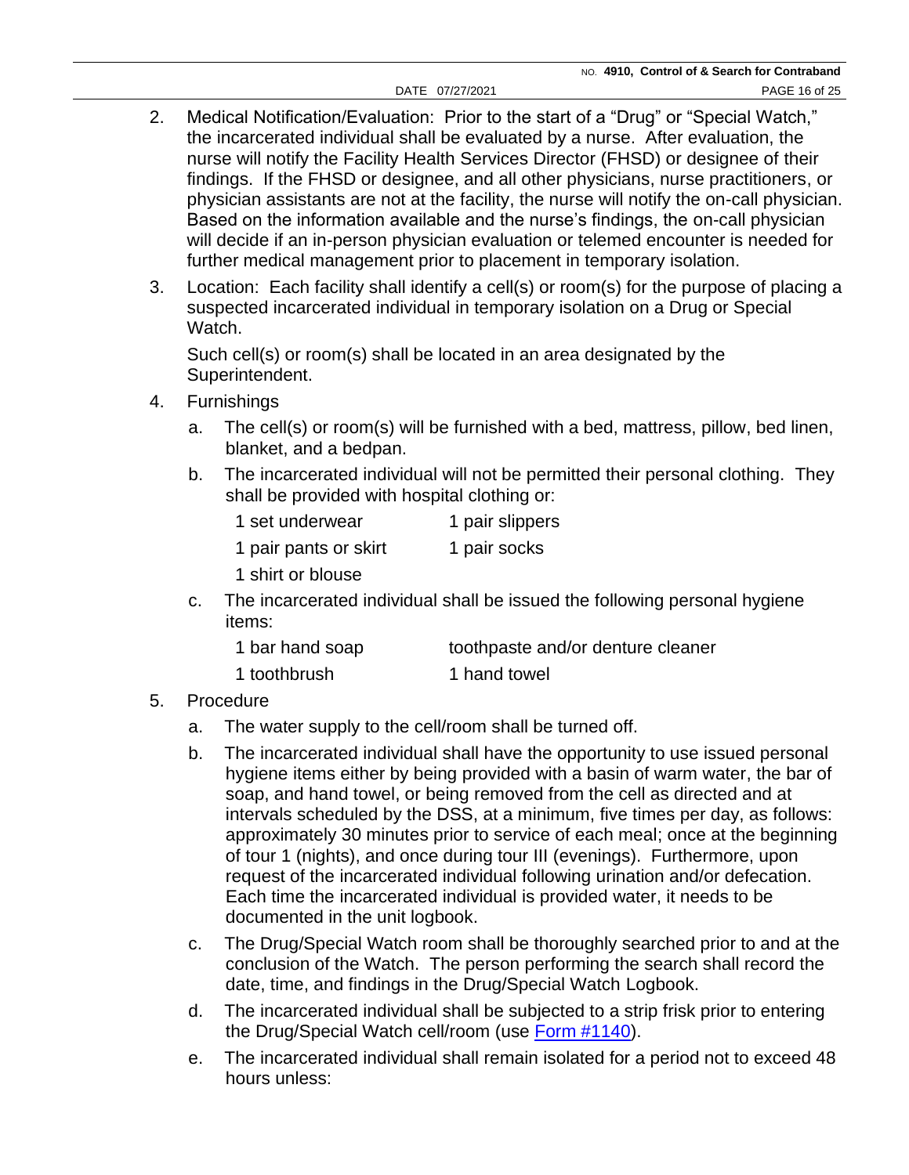- 2. Medical Notification/Evaluation: Prior to the start of a "Drug" or "Special Watch," the incarcerated individual shall be evaluated by a nurse. After evaluation, the nurse will notify the Facility Health Services Director (FHSD) or designee of their findings. If the FHSD or designee, and all other physicians, nurse practitioners, or physician assistants are not at the facility, the nurse will notify the on-call physician. Based on the information available and the nurse's findings, the on-call physician will decide if an in-person physician evaluation or telemed encounter is needed for further medical management prior to placement in temporary isolation.
- 3. Location: Each facility shall identify a cell(s) or room(s) for the purpose of placing a suspected incarcerated individual in temporary isolation on a Drug or Special Watch.

Such cell(s) or room(s) shall be located in an area designated by the Superintendent.

- 4. Furnishings
	- a. The cell(s) or room(s) will be furnished with a bed, mattress, pillow, bed linen, blanket, and a bedpan.
	- b. The incarcerated individual will not be permitted their personal clothing. They shall be provided with hospital clothing or:

| 1 set underwear                                                                                                                                                                                                                                                                                                                                     | 1 pair slippers |
|-----------------------------------------------------------------------------------------------------------------------------------------------------------------------------------------------------------------------------------------------------------------------------------------------------------------------------------------------------|-----------------|
| $\overline{1}$ , $\overline{1}$ , $\overline{1}$ , $\overline{1}$ , $\overline{1}$ , $\overline{1}$ , $\overline{1}$ , $\overline{1}$ , $\overline{1}$ , $\overline{1}$ , $\overline{1}$ , $\overline{1}$ , $\overline{1}$ , $\overline{1}$ , $\overline{1}$ , $\overline{1}$ , $\overline{1}$ , $\overline{1}$ , $\overline{1}$ , $\overline{1}$ , |                 |

1 pair pants or skirt 1 pair socks

1 shirt or blouse

c. The incarcerated individual shall be issued the following personal hygiene items:

| 1 bar hand soap | toothpaste and/or denture cleaner |
|-----------------|-----------------------------------|
| 1 toothbrush    | 1 hand towel                      |

- 5. Procedure
	- a. The water supply to the cell/room shall be turned off.
	- b. The incarcerated individual shall have the opportunity to use issued personal hygiene items either by being provided with a basin of warm water, the bar of soap, and hand towel, or being removed from the cell as directed and at intervals scheduled by the DSS, at a minimum, five times per day, as follows: approximately 30 minutes prior to service of each meal; once at the beginning of tour 1 (nights), and once during tour III (evenings). Furthermore, upon request of the incarcerated individual following urination and/or defecation. Each time the incarcerated individual is provided water, it needs to be documented in the unit logbook.
	- c. The Drug/Special Watch room shall be thoroughly searched prior to and at the conclusion of the Watch. The person performing the search shall record the date, time, and findings in the Drug/Special Watch Logbook.
	- d. The incarcerated individual shall be subjected to a strip frisk prior to entering the Drug/Special Watch cell/room (use [Form #1140\)](https://doccs.ny.gov/directives/Frm1140.pdf).
	- e. The incarcerated individual shall remain isolated for a period not to exceed 48 hours unless: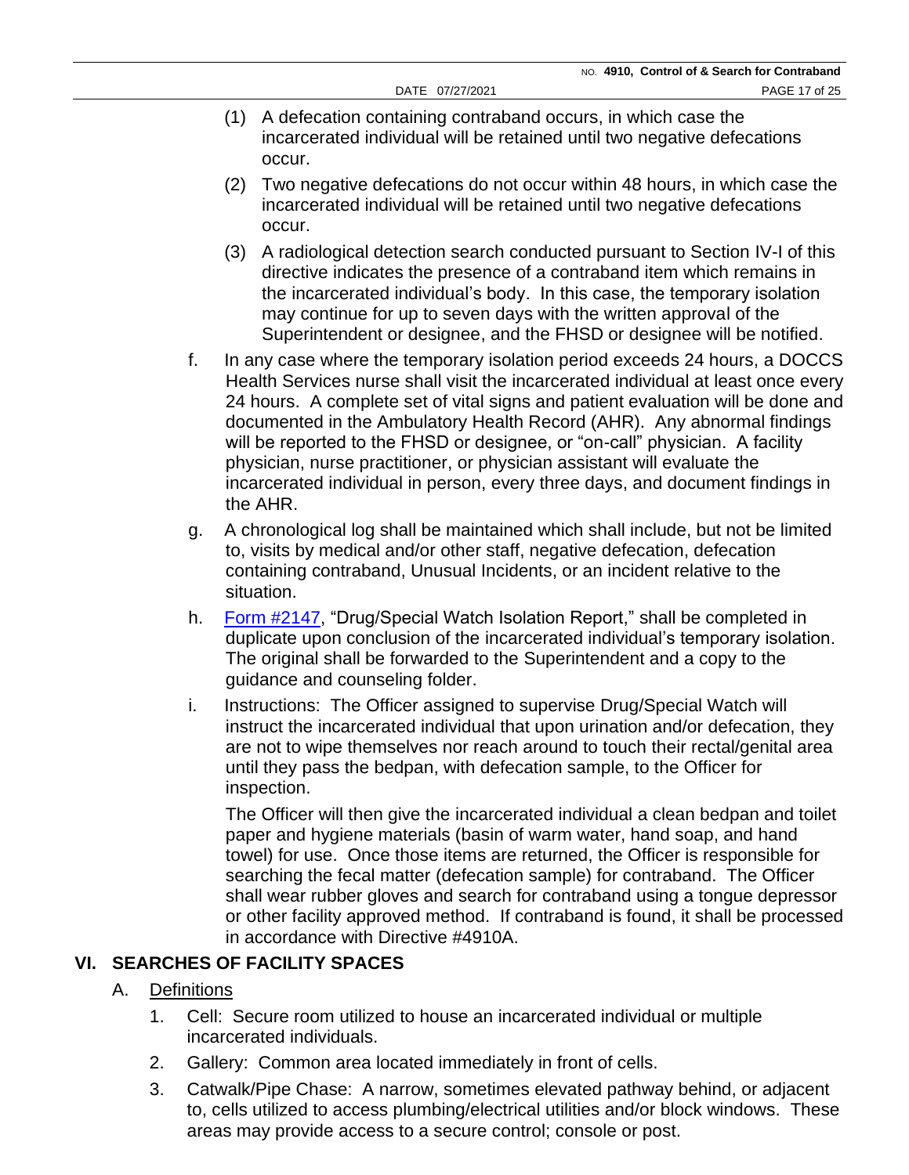- (1) A defecation containing contraband occurs, in which case the incarcerated individual will be retained until two negative defecations occur.
- (2) Two negative defecations do not occur within 48 hours, in which case the incarcerated individual will be retained until two negative defecations occur.
- (3) A radiological detection search conducted pursuant to Section IV-I of this directive indicates the presence of a contraband item which remains in the incarcerated individual's body. In this case, the temporary isolation may continue for up to seven days with the written approval of the Superintendent or designee, and the FHSD or designee will be notified.
- f. In any case where the temporary isolation period exceeds 24 hours, a DOCCS Health Services nurse shall visit the incarcerated individual at least once every 24 hours. A complete set of vital signs and patient evaluation will be done and documented in the Ambulatory Health Record (AHR). Any abnormal findings will be reported to the FHSD or designee, or "on-call" physician. A facility physician, nurse practitioner, or physician assistant will evaluate the incarcerated individual in person, every three days, and document findings in the AHR.
- g. A chronological log shall be maintained which shall include, but not be limited to, visits by medical and/or other staff, negative defecation, defecation containing contraband, Unusual Incidents, or an incident relative to the situation.
- h. [Form #2147,](https://doccs.ny.gov/directives/Frm2147.pdf) "Drug/Special Watch Isolation Report," shall be completed in duplicate upon conclusion of the incarcerated individual's temporary isolation. The original shall be forwarded to the Superintendent and a copy to the guidance and counseling folder.
- i. Instructions: The Officer assigned to supervise Drug/Special Watch will instruct the incarcerated individual that upon urination and/or defecation, they are not to wipe themselves nor reach around to touch their rectal/genital area until they pass the bedpan, with defecation sample, to the Officer for inspection.

The Officer will then give the incarcerated individual a clean bedpan and toilet paper and hygiene materials (basin of warm water, hand soap, and hand towel) for use. Once those items are returned, the Officer is responsible for searching the fecal matter (defecation sample) for contraband. The Officer shall wear rubber gloves and search for contraband using a tongue depressor or other facility approved method. If contraband is found, it shall be processed in accordance with Directive #4910A.

# **VI. SEARCHES OF FACILITY SPACES**

# A. Definitions

- 1. Cell: Secure room utilized to house an incarcerated individual or multiple incarcerated individuals.
- 2. Gallery: Common area located immediately in front of cells.
- 3. Catwalk/Pipe Chase: A narrow, sometimes elevated pathway behind, or adjacent to, cells utilized to access plumbing/electrical utilities and/or block windows. These areas may provide access to a secure control; console or post.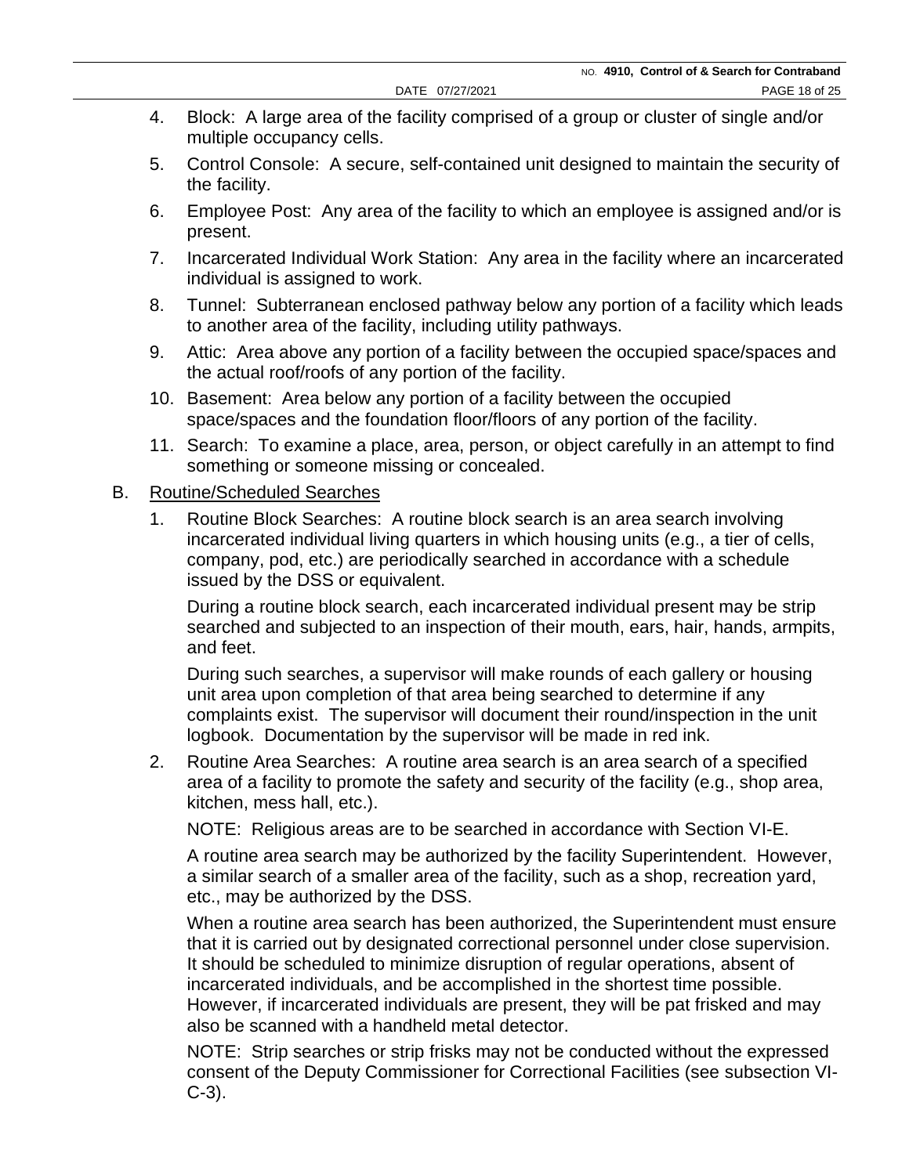- 4. Block: A large area of the facility comprised of a group or cluster of single and/or multiple occupancy cells.
- 5. Control Console: A secure, self-contained unit designed to maintain the security of the facility.
- 6. Employee Post: Any area of the facility to which an employee is assigned and/or is present.
- 7. Incarcerated Individual Work Station: Any area in the facility where an incarcerated individual is assigned to work.
- 8. Tunnel: Subterranean enclosed pathway below any portion of a facility which leads to another area of the facility, including utility pathways.
- 9. Attic: Area above any portion of a facility between the occupied space/spaces and the actual roof/roofs of any portion of the facility.
- 10. Basement: Area below any portion of a facility between the occupied space/spaces and the foundation floor/floors of any portion of the facility.
- 11. Search: To examine a place, area, person, or object carefully in an attempt to find something or someone missing or concealed.

#### B. Routine/Scheduled Searches

1. Routine Block Searches: A routine block search is an area search involving incarcerated individual living quarters in which housing units (e.g., a tier of cells, company, pod, etc.) are periodically searched in accordance with a schedule issued by the DSS or equivalent.

During a routine block search, each incarcerated individual present may be strip searched and subjected to an inspection of their mouth, ears, hair, hands, armpits, and feet.

During such searches, a supervisor will make rounds of each gallery or housing unit area upon completion of that area being searched to determine if any complaints exist. The supervisor will document their round/inspection in the unit logbook. Documentation by the supervisor will be made in red ink.

2. Routine Area Searches: A routine area search is an area search of a specified area of a facility to promote the safety and security of the facility (e.g., shop area, kitchen, mess hall, etc.).

NOTE: Religious areas are to be searched in accordance with Section VI-E.

A routine area search may be authorized by the facility Superintendent. However, a similar search of a smaller area of the facility, such as a shop, recreation yard, etc., may be authorized by the DSS.

When a routine area search has been authorized, the Superintendent must ensure that it is carried out by designated correctional personnel under close supervision. It should be scheduled to minimize disruption of regular operations, absent of incarcerated individuals, and be accomplished in the shortest time possible. However, if incarcerated individuals are present, they will be pat frisked and may also be scanned with a handheld metal detector.

NOTE: Strip searches or strip frisks may not be conducted without the expressed consent of the Deputy Commissioner for Correctional Facilities (see subsection VI-C-3).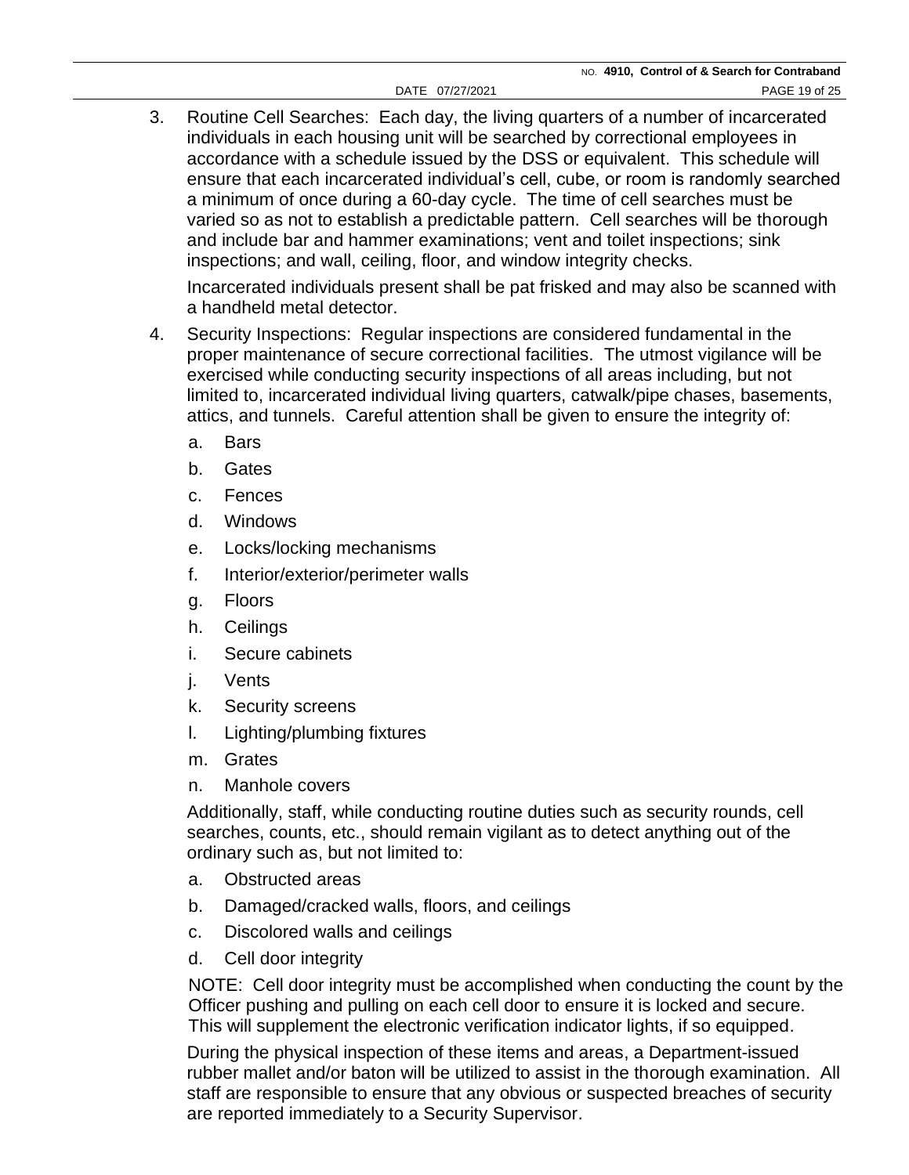3. Routine Cell Searches: Each day, the living quarters of a number of incarcerated individuals in each housing unit will be searched by correctional employees in accordance with a schedule issued by the DSS or equivalent. This schedule will ensure that each incarcerated individual's cell, cube, or room is randomly searched a minimum of once during a 60-day cycle. The time of cell searches must be varied so as not to establish a predictable pattern. Cell searches will be thorough and include bar and hammer examinations; vent and toilet inspections; sink inspections; and wall, ceiling, floor, and window integrity checks.

Incarcerated individuals present shall be pat frisked and may also be scanned with a handheld metal detector.

- 4. Security Inspections: Regular inspections are considered fundamental in the proper maintenance of secure correctional facilities. The utmost vigilance will be exercised while conducting security inspections of all areas including, but not limited to, incarcerated individual living quarters, catwalk/pipe chases, basements, attics, and tunnels. Careful attention shall be given to ensure the integrity of:
	- a. Bars
	- b. Gates
	- c. Fences
	- d. Windows
	- e. Locks/locking mechanisms
	- f. Interior/exterior/perimeter walls
	- g. Floors
	- h. Ceilings
	- i. Secure cabinets
	- j. Vents
	- k. Security screens
	- l. Lighting/plumbing fixtures
	- m. Grates
	- n. Manhole covers

Additionally, staff, while conducting routine duties such as security rounds, cell searches, counts, etc., should remain vigilant as to detect anything out of the ordinary such as, but not limited to:

- a. Obstructed areas
- b. Damaged/cracked walls, floors, and ceilings
- c. Discolored walls and ceilings
- d. Cell door integrity

NOTE: Cell door integrity must be accomplished when conducting the count by the Officer pushing and pulling on each cell door to ensure it is locked and secure. This will supplement the electronic verification indicator lights, if so equipped.

During the physical inspection of these items and areas, a Department-issued rubber mallet and/or baton will be utilized to assist in the thorough examination. All staff are responsible to ensure that any obvious or suspected breaches of security are reported immediately to a Security Supervisor.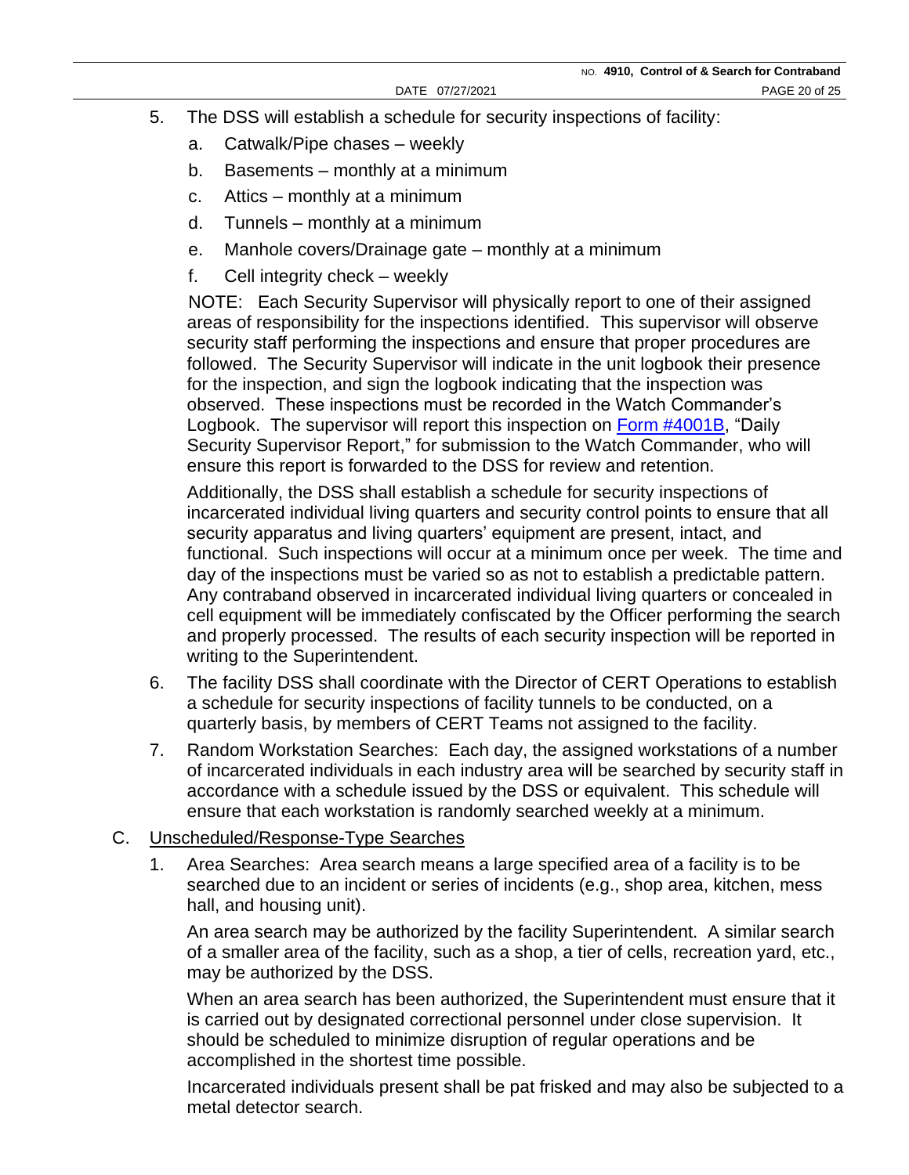- 5. The DSS will establish a schedule for security inspections of facility:
	- a. Catwalk/Pipe chases weekly
	- b. Basements monthly at a minimum
	- c. Attics monthly at a minimum
	- d. Tunnels monthly at a minimum
	- e. Manhole covers/Drainage gate monthly at a minimum
	- f. Cell integrity check weekly

NOTE: Each Security Supervisor will physically report to one of their assigned areas of responsibility for the inspections identified. This supervisor will observe security staff performing the inspections and ensure that proper procedures are followed. The Security Supervisor will indicate in the unit logbook their presence for the inspection, and sign the logbook indicating that the inspection was observed. These inspections must be recorded in the Watch Commander's Logbook. The supervisor will report this inspection on [Form #4001B,](https://doccs.ny.gov/directives/4001B.pdf) "Daily Security Supervisor Report," for submission to the Watch Commander, who will ensure this report is forwarded to the DSS for review and retention.

Additionally, the DSS shall establish a schedule for security inspections of incarcerated individual living quarters and security control points to ensure that all security apparatus and living quarters' equipment are present, intact, and functional. Such inspections will occur at a minimum once per week. The time and day of the inspections must be varied so as not to establish a predictable pattern. Any contraband observed in incarcerated individual living quarters or concealed in cell equipment will be immediately confiscated by the Officer performing the search and properly processed. The results of each security inspection will be reported in writing to the Superintendent.

- 6. The facility DSS shall coordinate with the Director of CERT Operations to establish a schedule for security inspections of facility tunnels to be conducted, on a quarterly basis, by members of CERT Teams not assigned to the facility.
- 7. Random Workstation Searches: Each day, the assigned workstations of a number of incarcerated individuals in each industry area will be searched by security staff in accordance with a schedule issued by the DSS or equivalent. This schedule will ensure that each workstation is randomly searched weekly at a minimum.

#### C. Unscheduled/Response-Type Searches

1. Area Searches: Area search means a large specified area of a facility is to be searched due to an incident or series of incidents (e.g., shop area, kitchen, mess hall, and housing unit).

An area search may be authorized by the facility Superintendent. A similar search of a smaller area of the facility, such as a shop, a tier of cells, recreation yard, etc., may be authorized by the DSS.

When an area search has been authorized, the Superintendent must ensure that it is carried out by designated correctional personnel under close supervision. It should be scheduled to minimize disruption of regular operations and be accomplished in the shortest time possible.

Incarcerated individuals present shall be pat frisked and may also be subjected to a metal detector search.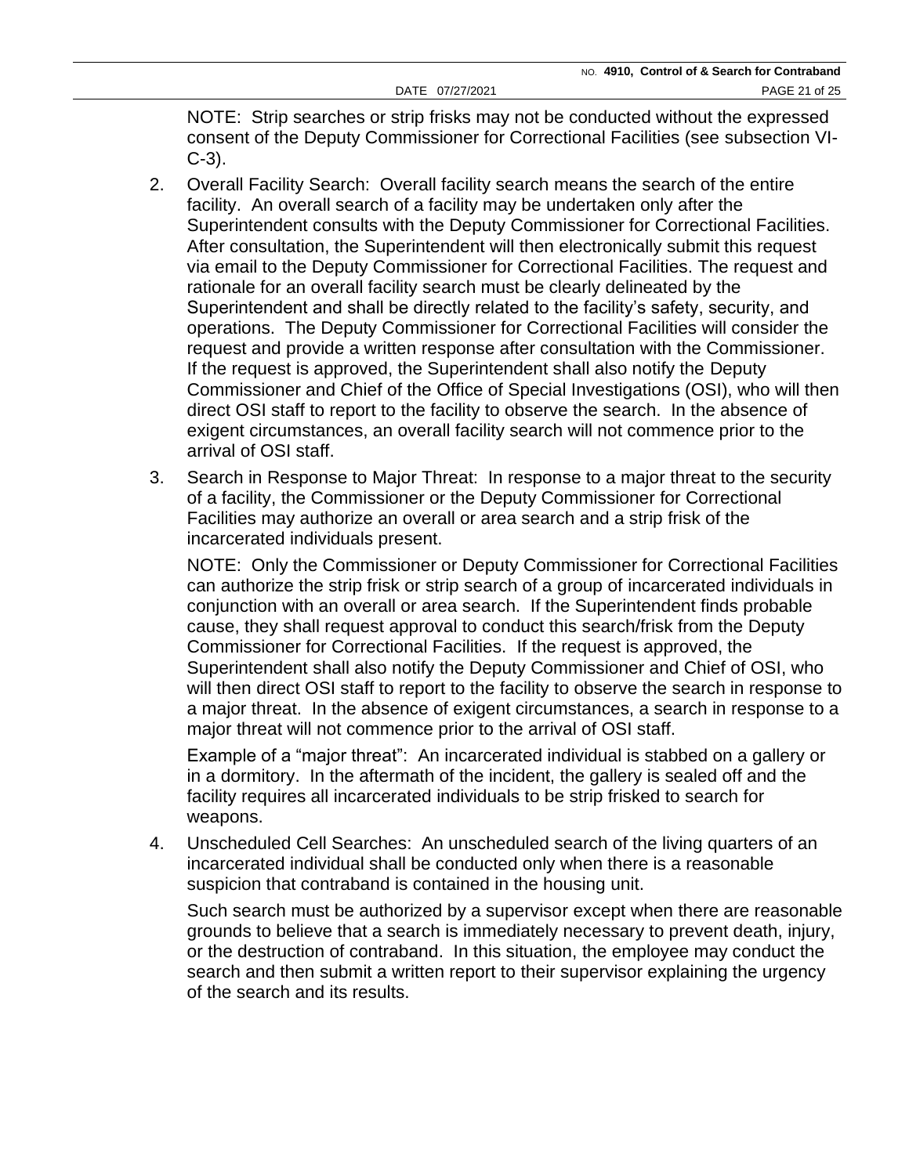NOTE: Strip searches or strip frisks may not be conducted without the expressed consent of the Deputy Commissioner for Correctional Facilities (see subsection VI-C-3).

- 2. Overall Facility Search: Overall facility search means the search of the entire facility. An overall search of a facility may be undertaken only after the Superintendent consults with the Deputy Commissioner for Correctional Facilities. After consultation, the Superintendent will then electronically submit this request via email to the Deputy Commissioner for Correctional Facilities. The request and rationale for an overall facility search must be clearly delineated by the Superintendent and shall be directly related to the facility's safety, security, and operations. The Deputy Commissioner for Correctional Facilities will consider the request and provide a written response after consultation with the Commissioner. If the request is approved, the Superintendent shall also notify the Deputy Commissioner and Chief of the Office of Special Investigations (OSI), who will then direct OSI staff to report to the facility to observe the search. In the absence of exigent circumstances, an overall facility search will not commence prior to the arrival of OSI staff.
- 3. Search in Response to Major Threat: In response to a major threat to the security of a facility, the Commissioner or the Deputy Commissioner for Correctional Facilities may authorize an overall or area search and a strip frisk of the incarcerated individuals present.

NOTE: Only the Commissioner or Deputy Commissioner for Correctional Facilities can authorize the strip frisk or strip search of a group of incarcerated individuals in conjunction with an overall or area search. If the Superintendent finds probable cause, they shall request approval to conduct this search/frisk from the Deputy Commissioner for Correctional Facilities. If the request is approved, the Superintendent shall also notify the Deputy Commissioner and Chief of OSI, who will then direct OSI staff to report to the facility to observe the search in response to a major threat. In the absence of exigent circumstances, a search in response to a major threat will not commence prior to the arrival of OSI staff.

Example of a "major threat": An incarcerated individual is stabbed on a gallery or in a dormitory. In the aftermath of the incident, the gallery is sealed off and the facility requires all incarcerated individuals to be strip frisked to search for weapons.

4. Unscheduled Cell Searches: An unscheduled search of the living quarters of an incarcerated individual shall be conducted only when there is a reasonable suspicion that contraband is contained in the housing unit.

Such search must be authorized by a supervisor except when there are reasonable grounds to believe that a search is immediately necessary to prevent death, injury, or the destruction of contraband. In this situation, the employee may conduct the search and then submit a written report to their supervisor explaining the urgency of the search and its results.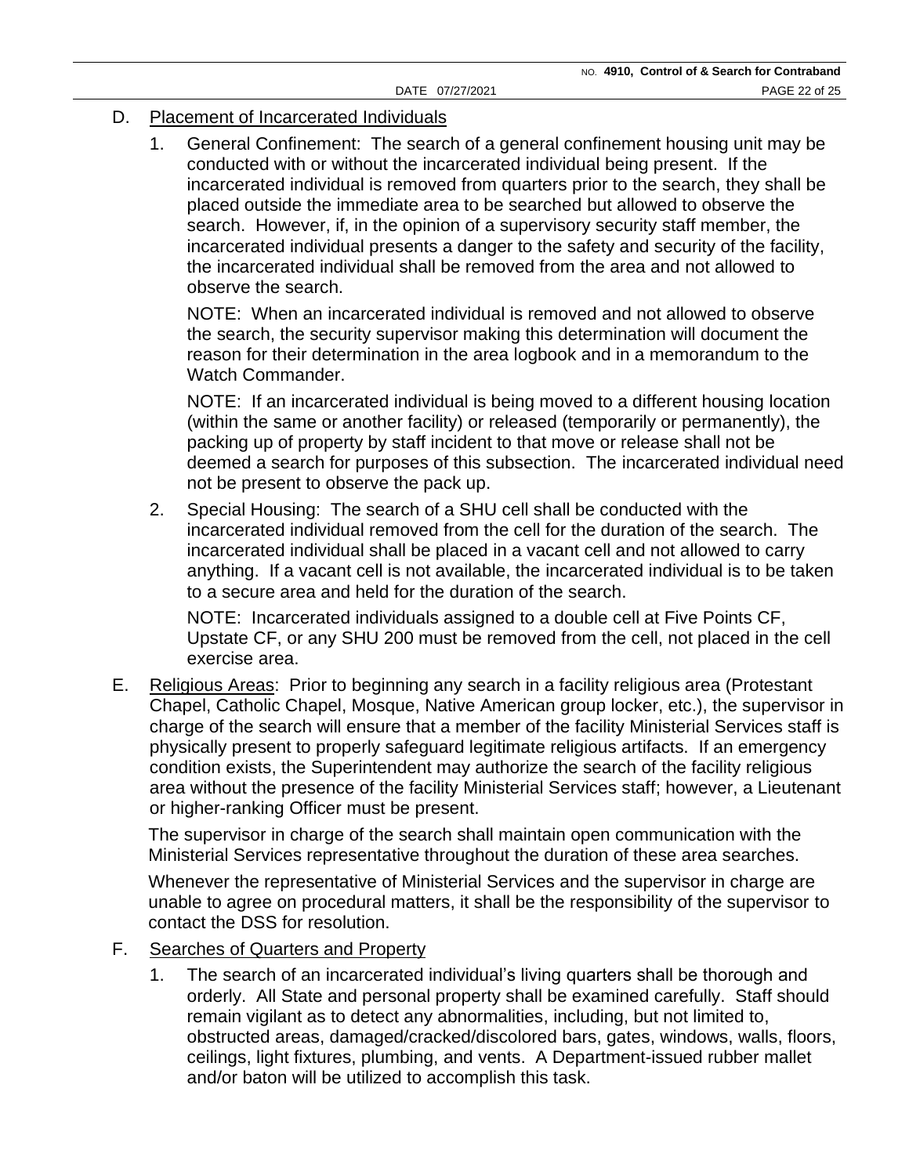#### D. Placement of Incarcerated Individuals

1. General Confinement: The search of a general confinement housing unit may be conducted with or without the incarcerated individual being present. If the incarcerated individual is removed from quarters prior to the search, they shall be placed outside the immediate area to be searched but allowed to observe the search. However, if, in the opinion of a supervisory security staff member, the incarcerated individual presents a danger to the safety and security of the facility, the incarcerated individual shall be removed from the area and not allowed to observe the search.

NOTE: When an incarcerated individual is removed and not allowed to observe the search, the security supervisor making this determination will document the reason for their determination in the area logbook and in a memorandum to the Watch Commander.

NOTE: If an incarcerated individual is being moved to a different housing location (within the same or another facility) or released (temporarily or permanently), the packing up of property by staff incident to that move or release shall not be deemed a search for purposes of this subsection. The incarcerated individual need not be present to observe the pack up.

2. Special Housing: The search of a SHU cell shall be conducted with the incarcerated individual removed from the cell for the duration of the search. The incarcerated individual shall be placed in a vacant cell and not allowed to carry anything. If a vacant cell is not available, the incarcerated individual is to be taken to a secure area and held for the duration of the search.

NOTE: Incarcerated individuals assigned to a double cell at Five Points CF, Upstate CF, or any SHU 200 must be removed from the cell, not placed in the cell exercise area.

E. Religious Areas: Prior to beginning any search in a facility religious area (Protestant Chapel, Catholic Chapel, Mosque, Native American group locker, etc.), the supervisor in charge of the search will ensure that a member of the facility Ministerial Services staff is physically present to properly safeguard legitimate religious artifacts. If an emergency condition exists, the Superintendent may authorize the search of the facility religious area without the presence of the facility Ministerial Services staff; however, a Lieutenant or higher-ranking Officer must be present.

The supervisor in charge of the search shall maintain open communication with the Ministerial Services representative throughout the duration of these area searches.

Whenever the representative of Ministerial Services and the supervisor in charge are unable to agree on procedural matters, it shall be the responsibility of the supervisor to contact the DSS for resolution.

- F. Searches of Quarters and Property
	- 1. The search of an incarcerated individual's living quarters shall be thorough and orderly. All State and personal property shall be examined carefully. Staff should remain vigilant as to detect any abnormalities, including, but not limited to, obstructed areas, damaged/cracked/discolored bars, gates, windows, walls, floors, ceilings, light fixtures, plumbing, and vents. A Department-issued rubber mallet and/or baton will be utilized to accomplish this task.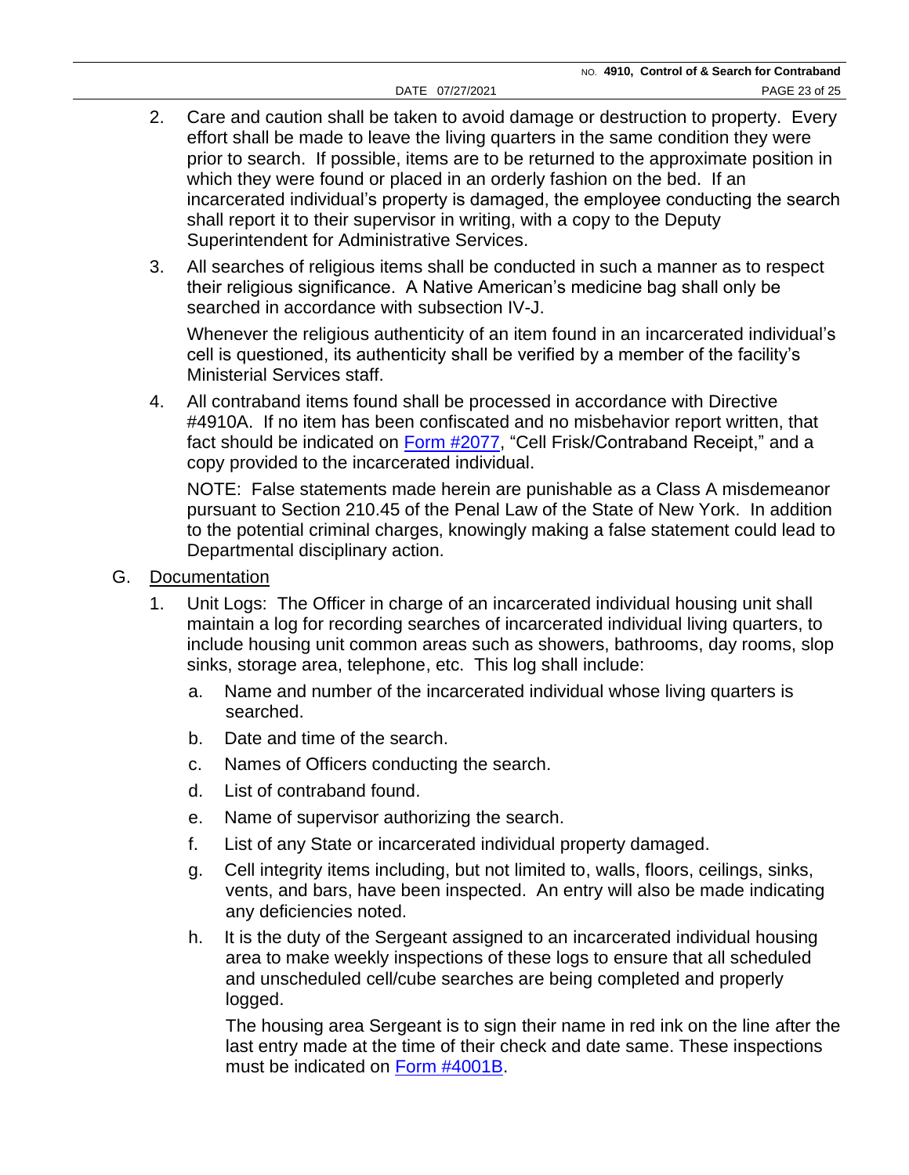- 2. Care and caution shall be taken to avoid damage or destruction to property. Every effort shall be made to leave the living quarters in the same condition they were prior to search. If possible, items are to be returned to the approximate position in which they were found or placed in an orderly fashion on the bed. If an incarcerated individual's property is damaged, the employee conducting the search shall report it to their supervisor in writing, with a copy to the Deputy Superintendent for Administrative Services.
- 3. All searches of religious items shall be conducted in such a manner as to respect their religious significance. A Native American's medicine bag shall only be searched in accordance with subsection IV-J.

Whenever the religious authenticity of an item found in an incarcerated individual's cell is questioned, its authenticity shall be verified by a member of the facility's Ministerial Services staff.

4. All contraband items found shall be processed in accordance with Directive #4910A. If no item has been confiscated and no misbehavior report written, that fact should be indicated on [Form #2077,](https://doccs.ny.gov/directives/Frm2077.pdf) "Cell Frisk/Contraband Receipt," and a copy provided to the incarcerated individual.

NOTE: False statements made herein are punishable as a Class A misdemeanor pursuant to Section 210.45 of the Penal Law of the State of New York. In addition to the potential criminal charges, knowingly making a false statement could lead to Departmental disciplinary action.

- G. Documentation
	- 1. Unit Logs: The Officer in charge of an incarcerated individual housing unit shall maintain a log for recording searches of incarcerated individual living quarters, to include housing unit common areas such as showers, bathrooms, day rooms, slop sinks, storage area, telephone, etc. This log shall include:
		- a. Name and number of the incarcerated individual whose living quarters is searched.
		- b. Date and time of the search.
		- c. Names of Officers conducting the search.
		- d. List of contraband found.
		- e. Name of supervisor authorizing the search.
		- f. List of any State or incarcerated individual property damaged.
		- g. Cell integrity items including, but not limited to, walls, floors, ceilings, sinks, vents, and bars, have been inspected. An entry will also be made indicating any deficiencies noted.
		- h. It is the duty of the Sergeant assigned to an incarcerated individual housing area to make weekly inspections of these logs to ensure that all scheduled and unscheduled cell/cube searches are being completed and properly logged.

The housing area Sergeant is to sign their name in red ink on the line after the last entry made at the time of their check and date same. These inspections must be indicated on [Form #4001B.](https://doccs.ny.gov/directives/4001B.pdf)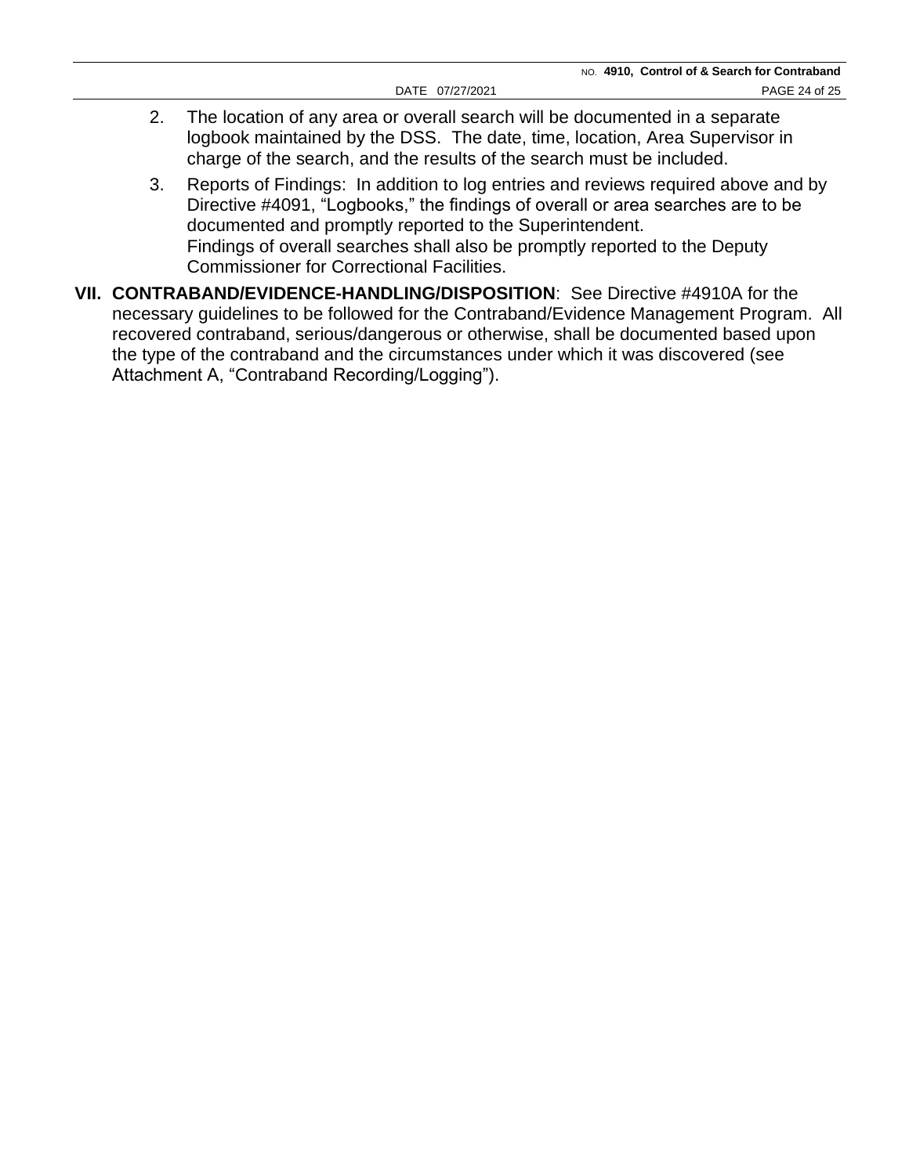- 2. The location of any area or overall search will be documented in a separate logbook maintained by the DSS. The date, time, location, Area Supervisor in charge of the search, and the results of the search must be included.
- 3. Reports of Findings: In addition to log entries and reviews required above and by Directive #4091, "Logbooks," the findings of overall or area searches are to be documented and promptly reported to the Superintendent. Findings of overall searches shall also be promptly reported to the Deputy Commissioner for Correctional Facilities.
- **VII. CONTRABAND/EVIDENCE-HANDLING/DISPOSITION**:See Directive #4910A for the necessary guidelines to be followed for the Contraband/Evidence Management Program.All recovered contraband, serious/dangerous or otherwise, shall be documented based upon the type of the contraband and the circumstances under which it was discovered (see Attachment A, "Contraband Recording/Logging").